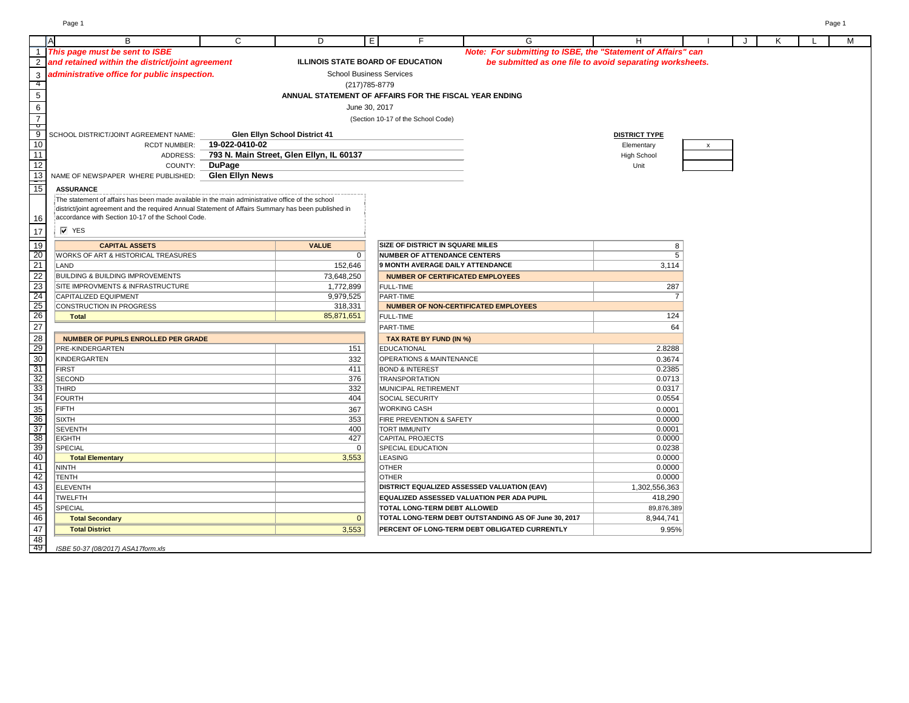|                 |                                                                                                     |                        |                                          | F.                                                     |                                                              |                      |              |   |  |   |
|-----------------|-----------------------------------------------------------------------------------------------------|------------------------|------------------------------------------|--------------------------------------------------------|--------------------------------------------------------------|----------------------|--------------|---|--|---|
|                 | В.                                                                                                  | C                      | D                                        | E                                                      | G                                                            | н                    |              | Κ |  | м |
|                 | 1 This page must be sent to ISBE                                                                    |                        |                                          |                                                        | Note: For submitting to ISBE, the "Statement of Affairs" can |                      |              |   |  |   |
|                 | 2 and retained within the district/joint agreement                                                  |                        |                                          | <b>ILLINOIS STATE BOARD OF EDUCATION</b>               | be submitted as one file to avoid separating worksheets.     |                      |              |   |  |   |
| $\mathbf{3}$    | administrative office for public inspection.                                                        |                        |                                          | <b>School Business Services</b>                        |                                                              |                      |              |   |  |   |
| 4               |                                                                                                     |                        |                                          | (217) 785-8779                                         |                                                              |                      |              |   |  |   |
| $\overline{5}$  |                                                                                                     |                        |                                          | ANNUAL STATEMENT OF AFFAIRS FOR THE FISCAL YEAR ENDING |                                                              |                      |              |   |  |   |
| $6\,$           |                                                                                                     |                        |                                          | June 30, 2017                                          |                                                              |                      |              |   |  |   |
| $\overline{7}$  |                                                                                                     |                        |                                          | (Section 10-17 of the School Code)                     |                                                              |                      |              |   |  |   |
| þ               |                                                                                                     |                        |                                          |                                                        |                                                              |                      |              |   |  |   |
| $\overline{9}$  | SCHOOL DISTRICT/JOINT AGREEMENT NAME:                                                               |                        | <b>Glen Ellyn School District 41</b>     |                                                        |                                                              | <b>DISTRICT TYPE</b> |              |   |  |   |
| 10              | <b>RCDT NUMBER:</b>                                                                                 | 19-022-0410-02         |                                          |                                                        |                                                              | Elementary           | $\mathsf{x}$ |   |  |   |
| $\frac{11}{12}$ | ADDRESS:                                                                                            |                        | 793 N. Main Street, Glen Ellyn, IL 60137 |                                                        |                                                              | <b>High School</b>   |              |   |  |   |
|                 | COUNTY:                                                                                             | <b>DuPage</b>          |                                          |                                                        |                                                              | Unit                 |              |   |  |   |
| 13              | NAME OF NEWSPAPER WHERE PUBLISHED:                                                                  | <b>Glen Ellyn News</b> |                                          |                                                        |                                                              |                      |              |   |  |   |
| $\frac{1}{15}$  | <b>ASSURANCE</b>                                                                                    |                        |                                          |                                                        |                                                              |                      |              |   |  |   |
|                 | The statement of affairs has been made available in the main administrative office of the school    |                        |                                          |                                                        |                                                              |                      |              |   |  |   |
|                 | district/joint agreement and the required Annual Statement of Affairs Summary has been published in |                        |                                          |                                                        |                                                              |                      |              |   |  |   |
| 16              | accordance with Section 10-17 of the School Code.                                                   |                        |                                          |                                                        |                                                              |                      |              |   |  |   |
| 17              | $\overline{V}$ YES                                                                                  |                        |                                          |                                                        |                                                              |                      |              |   |  |   |
| $\frac{1}{19}$  | <b>CAPITAL ASSETS</b>                                                                               |                        | <b>VALUE</b>                             | <b>SIZE OF DISTRICT IN SQUARE MILES</b>                |                                                              | 8                    |              |   |  |   |
| 20              | WORKS OF ART & HISTORICAL TREASURES                                                                 |                        | 0                                        | NUMBER OF ATTENDANCE CENTERS                           |                                                              | 5                    |              |   |  |   |
| $\overline{21}$ | LAND                                                                                                |                        | 152,646                                  | 9 MONTH AVERAGE DAILY ATTENDANCE                       |                                                              |                      |              |   |  |   |
| $\overline{22}$ | <b>BUILDING &amp; BUILDING IMPROVEMENTS</b>                                                         |                        | 73,648,250                               | <b>NUMBER OF CERTIFICATED EMPLOYEES</b>                |                                                              | 3,114                |              |   |  |   |
| $\overline{23}$ | SITE IMPROVMENTS & INFRASTRUCTURE                                                                   |                        | 1,772,899                                | <b>FULL-TIME</b>                                       |                                                              | 287                  |              |   |  |   |
| 24              | CAPITALIZED EQUIPMENT                                                                               |                        | 9,979,525                                | <b>PART-TIME</b>                                       |                                                              | $\overline{7}$       |              |   |  |   |
| 25              | CONSTRUCTION IN PROGRESS                                                                            |                        | 318,331                                  | <b>NUMBER OF NON-CERTIFICATED EMPLOYEES</b>            |                                                              |                      |              |   |  |   |
| $\overline{26}$ | <b>Total</b>                                                                                        |                        | 85,871,651                               | <b>FULL-TIME</b>                                       |                                                              | 124                  |              |   |  |   |
| 27              |                                                                                                     |                        |                                          | <b>PART-TIME</b>                                       |                                                              | 64                   |              |   |  |   |
|                 | <b>NUMBER OF PUPILS ENROLLED PER GRADE</b>                                                          |                        |                                          | TAX RATE BY FUND (IN %)                                |                                                              |                      |              |   |  |   |
| $\frac{28}{29}$ | <b>PRE-KINDERGARTEN</b>                                                                             |                        | 151                                      | EDUCATIONAL                                            |                                                              | 2.8288               |              |   |  |   |
| 30              | KINDERGARTEN                                                                                        |                        | 332                                      | <b>OPERATIONS &amp; MAINTENANCE</b>                    |                                                              | 0.3674               |              |   |  |   |
| 31              | <b>FIRST</b>                                                                                        |                        | 411                                      | <b>BOND &amp; INTEREST</b>                             |                                                              | 0.2385               |              |   |  |   |
|                 | SECOND                                                                                              |                        | 376                                      | TRANSPORTATION                                         |                                                              | 0.0713               |              |   |  |   |
| $\frac{32}{33}$ | <b>THIRD</b>                                                                                        |                        | 332                                      | MUNICIPAL RETIREMENT                                   |                                                              | 0.0317               |              |   |  |   |
| $\overline{34}$ | FOURTH                                                                                              |                        | 404                                      | SOCIAL SECURITY                                        |                                                              | 0.0554               |              |   |  |   |
| 35              | <b>FIFTH</b>                                                                                        |                        | 367                                      | <b>WORKING CASH</b>                                    |                                                              | 0.0001               |              |   |  |   |
| 36              | <b>SIXTH</b>                                                                                        |                        | 353                                      | <b>FIRE PREVENTION &amp; SAFETY</b>                    |                                                              | 0.0000               |              |   |  |   |
| 37              | <b>SEVENTH</b>                                                                                      |                        | 400                                      | <b>TORT IMMUNITY</b>                                   |                                                              | 0.0001               |              |   |  |   |
| 38              | <b>EIGHTH</b>                                                                                       |                        | 427                                      | <b>CAPITAL PROJECTS</b>                                |                                                              | 0.0000               |              |   |  |   |
| 39              | SPECIAL                                                                                             |                        | 0                                        | <b>SPECIAL EDUCATION</b>                               |                                                              | 0.0238               |              |   |  |   |
| 40              | <b>Total Elementary</b>                                                                             |                        | 3,553                                    | LEASING                                                |                                                              | 0.0000               |              |   |  |   |
| 41              | NINTH                                                                                               |                        |                                          | <b>OTHER</b>                                           |                                                              | 0.0000               |              |   |  |   |
| 42              | <b>TENTH</b>                                                                                        |                        |                                          | <b>OTHER</b>                                           |                                                              | 0.0000               |              |   |  |   |
| 43              | ELEVENTH                                                                                            |                        |                                          |                                                        | <b>DISTRICT EQUALIZED ASSESSED VALUATION (EAV)</b>           | 1,302,556,363        |              |   |  |   |
| 44              | <b>TWELFTH</b>                                                                                      |                        |                                          |                                                        | <b>EQUALIZED ASSESSED VALUATION PER ADA PUPIL</b>            | 418,290              |              |   |  |   |
| 45              | SPECIAL                                                                                             |                        |                                          |                                                        | 89,876,389<br><b>TOTAL LONG-TERM DEBT ALLOWED</b>            |                      |              |   |  |   |
| 46              | <b>Total Secondary</b>                                                                              |                        | $\mathbf{0}$                             |                                                        | TOTAL LONG-TERM DEBT OUTSTANDING AS OF June 30, 2017         | 8,944,741            |              |   |  |   |
| 47              | <b>Total District</b>                                                                               |                        | 3,553                                    |                                                        | PERCENT OF LONG-TERM DEBT OBLIGATED CURRENTLY                | 9.95%                |              |   |  |   |
| 48<br>- 49      |                                                                                                     |                        |                                          |                                                        |                                                              |                      |              |   |  |   |
|                 | ISBE 50-37 (08/2017) ASA17form.xls                                                                  |                        |                                          |                                                        |                                                              |                      |              |   |  |   |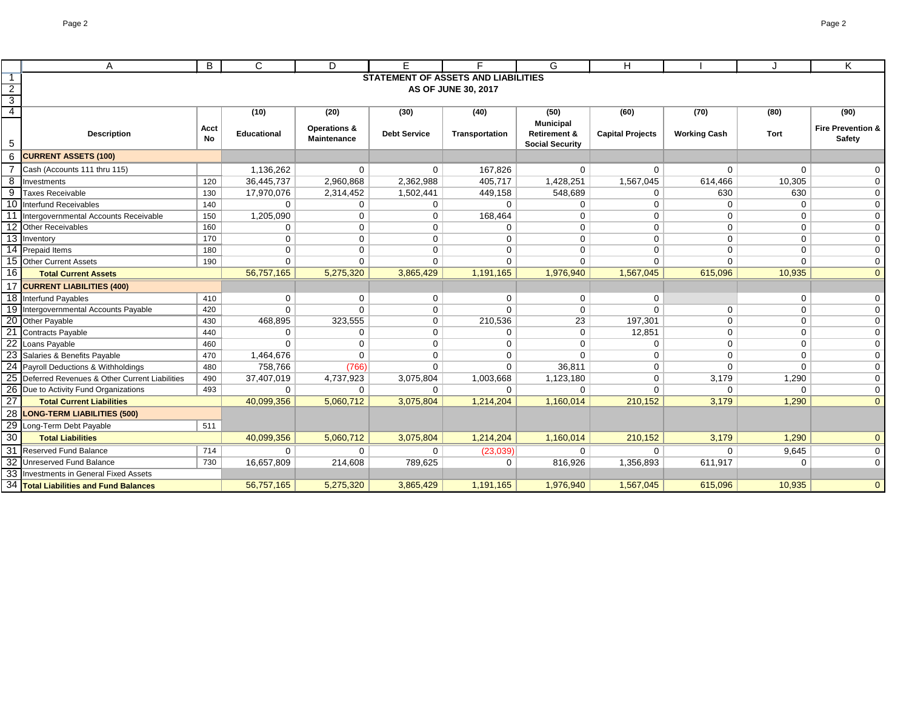|                 | B<br>A                                           |      | $\mathsf{C}$       | D                       | E.                  | Е                                   | G                       | н                       |                     |             | Κ                            |
|-----------------|--------------------------------------------------|------|--------------------|-------------------------|---------------------|-------------------------------------|-------------------------|-------------------------|---------------------|-------------|------------------------------|
| -1              |                                                  |      |                    |                         |                     | STATEMENT OF ASSETS AND LIABILITIES |                         |                         |                     |             |                              |
| $\overline{2}$  |                                                  |      |                    |                         |                     | AS OF JUNE 30, 2017                 |                         |                         |                     |             |                              |
| دی              |                                                  |      |                    |                         |                     |                                     |                         |                         |                     |             |                              |
| $\overline{4}$  |                                                  |      | (10)               | (20)                    | (30)                | (40)                                | (50)                    | (60)                    | (70)                | (80)        | (90)                         |
|                 |                                                  | Acct |                    | <b>Operations &amp;</b> |                     |                                     | <b>Municipal</b>        |                         |                     |             | <b>Fire Prevention &amp;</b> |
|                 | <b>Description</b>                               | No.  | <b>Educational</b> | <b>Maintenance</b>      | <b>Debt Service</b> | Transportation                      | <b>Retirement &amp;</b> | <b>Capital Projects</b> | <b>Working Cash</b> | <b>Tort</b> | <b>Safety</b>                |
| 5               |                                                  |      |                    |                         |                     |                                     | <b>Social Security</b>  |                         |                     |             |                              |
| 6               | <b>CURRENT ASSETS (100)</b>                      |      |                    |                         |                     |                                     |                         |                         |                     |             |                              |
|                 | Cash (Accounts 111 thru 115)                     |      | 1,136,262          | $\mathbf 0$             | $\mathbf 0$         | 167,826                             | 0                       | $\mathbf 0$             | $\mathbf 0$         | $\mathbf 0$ | 0                            |
| 8               | Investments                                      | 120  | 36,445,737         | 2,960,868               | 2,362,988           | 405,717                             | 1,428,251               | 1,567,045               | 614,466             | 10,305      | 0                            |
| 9               | <b>Taxes Receivable</b>                          | 130  | 17,970,076         | 2,314,452               | 1,502,441           | 449,158                             | 548,689                 | 0                       | 630                 | 630         | $\mathbf 0$                  |
| 10              | Interfund Receivables                            | 140  | $\mathbf 0$        | 0                       | $\mathbf{0}$        | $\Omega$                            | 0                       | 0                       | $\mathbf 0$         | $\mathbf 0$ | $\mathbf 0$                  |
|                 | Intergovernmental Accounts Receivable            | 150  | 1,205,090          | $\mathbf 0$             | $\mathbf{0}$        | 168,464                             | 0                       | 0                       | $\mathbf 0$         | 0           | 0                            |
| 12              | Other Receivables                                | 160  | $\mathbf{0}$       | $\mathbf{0}$            | $\Omega$            | 0                                   | 0                       | 0                       | $\mathbf 0$         | $\mathbf 0$ | $\mathbf 0$                  |
|                 | 13 Inventory<br>170                              |      | $\mathbf 0$        | $\mathbf 0$             | $\mathbf{0}$        | 0                                   | 0                       | 0                       | 0                   | 0           | $\mathbf 0$                  |
|                 | 14 Prepaid Items                                 | 180  | $\mathbf 0$        | 0                       | $\mathbf{0}$        | 0                                   | 0                       | 0                       | $\Omega$            | $\mathbf 0$ | $\Omega$                     |
|                 | 15 Other Current Assets                          | 190  | $\mathbf{0}$       | $\mathbf 0$             | $\Omega$            | 0                                   | $\mathbf{0}$            | $\Omega$                | $\Omega$            | 0           | 0                            |
| 16              | <b>Total Current Assets</b>                      |      | 56,757,165         | 5,275,320               | 3,865,429           | 1,191,165                           | 1,976,940               | 1,567,045               | 615,096             | 10,935      | $\theta$                     |
|                 | 17 CURRENT LIABILITIES (400)                     |      |                    |                         |                     |                                     |                         |                         |                     |             |                              |
|                 | 18 Interfund Payables                            | 410  | 0                  | $\mathbf 0$             | $\overline{0}$      | 0                                   | $\mathbf 0$             | 0                       |                     | 0           | $\mathbf 0$                  |
|                 | 19 Intergovernmental Accounts Payable            | 420  | $\mathbf 0$        | $\Omega$                | $\Omega$            | $\Omega$                            | $\mathbf 0$             | $\Omega$                | $\Omega$            | $\mathbf 0$ | $\mathbf 0$                  |
| $\overline{20}$ | Other Payable                                    | 430  | 468,895            | 323,555                 | $\mathbf{0}$        | 210,536                             | 23                      | 197,301                 | 0                   | $\mathbf 0$ | $\mathbf 0$                  |
| $\overline{21}$ | <b>Contracts Payable</b>                         | 440  | 0                  | $\mathbf 0$             | $\Omega$            | 0                                   | $\Omega$                | 12,851                  | 0                   | $\mathbf 0$ | $\Omega$                     |
| $\overline{22}$ | Loans Payable                                    | 460  | $\Omega$           | $\mathbf 0$             | $\Omega$            | 0                                   | $\mathbf{0}$            | 0                       | 0                   | $\mathbf 0$ | $\Omega$                     |
|                 | 23 Salaries & Benefits Payable                   | 470  | 1,464,676          | $\Omega$                | $\Omega$            | 0                                   | $\Omega$                | $\Omega$                | $\Omega$            | $\mathbf 0$ | $\Omega$                     |
|                 | 24 Payroll Deductions & Withholdings             | 480  | 758,766            | (766)                   | $\Omega$            | 0                                   | 36,811                  | $\Omega$                | $\Omega$            | $\mathbf 0$ | $\Omega$                     |
|                 | 25 Deferred Revenues & Other Current Liabilities | 490  | 37,407,019         | 4,737,923               | 3,075,804           | 1,003,668                           | 1,123,180               | $\Omega$                | 3,179               | 1,290       | $\Omega$                     |
|                 | 26 Due to Activity Fund Organizations<br>493     |      | 0                  | 0                       | $\mathbf 0$         | 0                                   | $\mathbf 0$             | 0                       | $\mathbf{0}$        | $\mathbf 0$ | 0                            |
| $\overline{27}$ | <b>Total Current Liabilities</b>                 |      | 40,099,356         | 5,060,712               | 3,075,804           | 1,214,204                           | 1,160,014               | 210,152                 | 3,179               | 1,290       | $\Omega$                     |
| 28              | <b>LONG-TERM LIABILITIES (500)</b>               |      |                    |                         |                     |                                     |                         |                         |                     |             |                              |
| $\overline{29}$ | Long-Term Debt Payable<br>511                    |      |                    |                         |                     |                                     |                         |                         |                     |             |                              |
| 30              | <b>Total Liabilities</b>                         |      | 40,099,356         | 5,060,712               | 3,075,804           | 1,214,204                           | 1,160,014               | 210,152                 | 3,179               | 1,290       | $\theta$                     |
| $\overline{31}$ | <b>Reserved Fund Balance</b><br>714              |      | $\Omega$           | $\Omega$                | $\Omega$            | (23,039)                            | $\Omega$                | $\Omega$                | $\Omega$            | 9,645       | $\mathbf 0$                  |
|                 | 32 Unreserved Fund Balance                       | 730  | 16,657,809         | 214,608                 | 789,625             | $\Omega$                            | 816,926                 | 1,356,893               | 611,917             | $\Omega$    | $\mathbf 0$                  |
|                 | 33 Investments in General Fixed Assets           |      |                    |                         |                     |                                     |                         |                         |                     |             |                              |
|                 | 34 Total Liabilities and Fund Balances           |      | 56,757,165         | 5,275,320               | 3,865,429           | 1,191,165                           | 1,976,940               | 1,567,045               | 615,096             | 10,935      | $\Omega$                     |
|                 |                                                  |      |                    |                         |                     |                                     |                         |                         |                     |             |                              |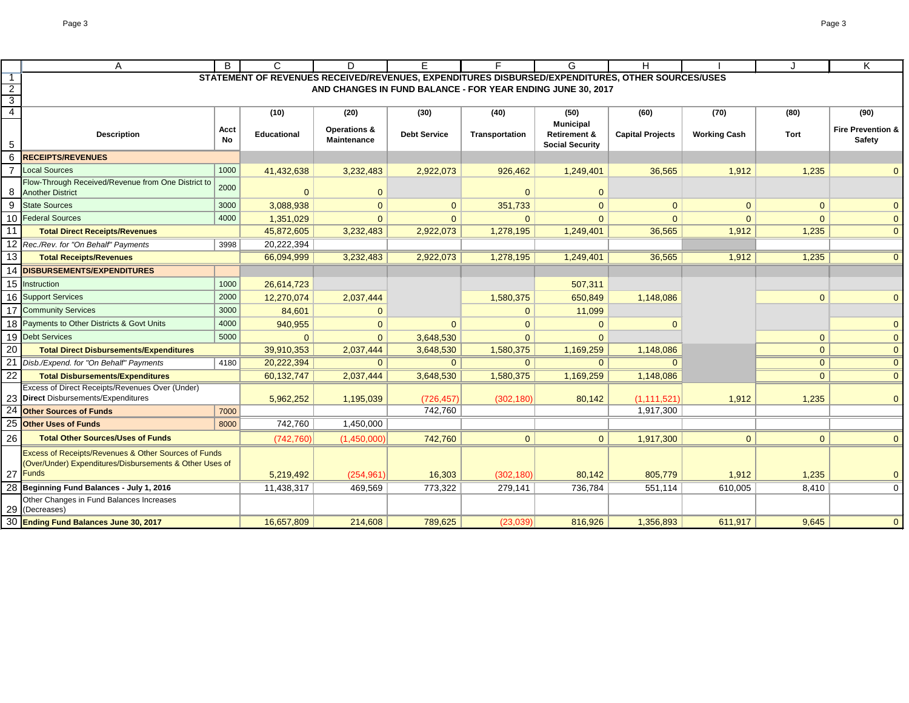|    | A                                                      | B    | C                                                                                                | D.                                                          | F                   | F.             | G                                           | H                       |                     |                | K                            |
|----|--------------------------------------------------------|------|--------------------------------------------------------------------------------------------------|-------------------------------------------------------------|---------------------|----------------|---------------------------------------------|-------------------------|---------------------|----------------|------------------------------|
|    |                                                        |      | STATEMENT OF REVENUES RECEIVED/REVENUES, EXPENDITURES DISBURSED/EXPENDITURES, OTHER SOURCES/USES |                                                             |                     |                |                                             |                         |                     |                |                              |
|    |                                                        |      |                                                                                                  | AND CHANGES IN FUND BALANCE - FOR YEAR ENDING JUNE 30, 2017 |                     |                |                                             |                         |                     |                |                              |
| 3  |                                                        |      |                                                                                                  |                                                             |                     |                |                                             |                         |                     |                |                              |
| 4  |                                                        |      | (10)                                                                                             | (20)                                                        | (30)                | (40)           | (50)                                        | (60)                    | (70)                | (80)           | (90)                         |
|    | <b>Description</b>                                     | Acct | <b>Educational</b>                                                                               | <b>Operations &amp;</b>                                     | <b>Debt Service</b> | Transportation | <b>Municipal</b><br><b>Retirement &amp;</b> | <b>Capital Projects</b> | <b>Working Cash</b> | Tort           | <b>Fire Prevention &amp;</b> |
| 5  |                                                        | No   |                                                                                                  | <b>Maintenance</b>                                          |                     |                | <b>Social Security</b>                      |                         |                     |                | <b>Safety</b>                |
| 6  | <b>RECEIPTS/REVENUES</b>                               |      |                                                                                                  |                                                             |                     |                |                                             |                         |                     |                |                              |
|    | <b>Local Sources</b>                                   | 1000 | 41,432,638                                                                                       | 3,232,483                                                   | 2,922,073           | 926,462        | 1,249,401                                   | 36,565                  | 1,912               | 1,235          | $\Omega$                     |
|    | Flow-Through Received/Revenue from One District to     |      |                                                                                                  |                                                             |                     |                |                                             |                         |                     |                |                              |
| 8  | <b>Another District</b>                                | 2000 | $\Omega$                                                                                         | $\overline{0}$                                              |                     | $\Omega$       | $\Omega$                                    |                         |                     |                |                              |
| 9  | <b>State Sources</b>                                   | 3000 | 3,088,938                                                                                        | $\overline{0}$                                              | $\mathbf{0}$        | 351,733        | $\Omega$                                    | $\mathbf{0}$            | $\mathbf 0$         | $\overline{0}$ | $\mathbf{0}$                 |
| 10 | <b>Federal Sources</b>                                 | 4000 | 1,351,029                                                                                        | $\Omega$                                                    | $\Omega$            | $\Omega$       | $\Omega$                                    | $\Omega$                | $\Omega$            | $\Omega$       | $\mathbf{0}$                 |
| 11 | <b>Total Direct Receipts/Revenues</b>                  |      | 45,872,605                                                                                       | 3,232,483                                                   | 2,922,073           | 1,278,195      | 1,249,401                                   | 36,565                  | 1,912               | 1,235          | $\overline{0}$               |
|    | 12 Rec./Rev. for "On Behalf" Payments                  | 3998 | 20,222,394                                                                                       |                                                             |                     |                |                                             |                         |                     |                |                              |
| 13 | <b>Total Receipts/Revenues</b>                         |      | 66,094,999                                                                                       | 3,232,483                                                   | 2,922,073           | 1,278,195      | 1,249,401                                   | 36,565                  | 1,912               | 1,235          | $\mathbf{0}$                 |
| 14 | <b>DISBURSEMENTS/EXPENDITURES</b>                      |      |                                                                                                  |                                                             |                     |                |                                             |                         |                     |                |                              |
|    | 15 Instruction                                         | 1000 | 26,614,723                                                                                       |                                                             |                     |                | 507,311                                     |                         |                     |                |                              |
|    | 16 Support Services<br>2000                            |      | 12,270,074                                                                                       | 2,037,444                                                   |                     | 1,580,375      | 650,849                                     | 1,148,086               |                     | $\overline{0}$ | $\Omega$                     |
|    | 17 Community Services                                  | 3000 | 84,601                                                                                           | $\mathbf 0$                                                 |                     | $\mathbf{0}$   | 11,099                                      |                         |                     |                |                              |
| 18 | Payments to Other Districts & Govt Units               | 4000 | 940,955                                                                                          | $\mathbf{0}$                                                | $\mathbf{0}$        | $\Omega$       | $\Omega$                                    | 0                       |                     |                | $\mathbf{0}$                 |
| 19 | <b>Debt Services</b>                                   | 5000 | $\mathbf{0}$                                                                                     | $\overline{0}$                                              | 3,648,530           | $\Omega$       | $\Omega$                                    |                         |                     | $\overline{0}$ | $\mathbf{0}$                 |
| 20 | <b>Total Direct Disbursements/Expenditures</b>         |      | 39,910,353                                                                                       | 2,037,444                                                   | 3,648,530           | 1,580,375      | 1,169,259                                   | 1,148,086               |                     | $\overline{0}$ | $\Omega$                     |
| 21 | Disb./Expend. for "On Behalf" Payments                 | 4180 | 20,222,394                                                                                       | $\Omega$                                                    | $\mathbf 0$         | $\Omega$       | $\mathbf{0}$                                | $\Omega$                |                     | $\overline{0}$ | $\theta$                     |
| 22 | <b>Total Disbursements/Expenditures</b>                |      | 60,132,747                                                                                       | 2,037,444                                                   | 3,648,530           | 1,580,375      | 1,169,259                                   | 1,148,086               |                     | $\overline{0}$ | $\theta$                     |
|    | Excess of Direct Receipts/Revenues Over (Under)        |      |                                                                                                  |                                                             |                     |                |                                             |                         |                     |                |                              |
|    | 23 Direct Disbursements/Expenditures                   |      | 5,962,252                                                                                        | 1,195,039                                                   | (726, 457)          | (302, 180)     | 80,142                                      | (1, 111, 521)           | 1,912               | 1,235          | $\Omega$                     |
| 24 | <b>Other Sources of Funds</b>                          | 7000 |                                                                                                  |                                                             | 742,760             |                |                                             | 1,917,300               |                     |                |                              |
|    | 25 Other Uses of Funds                                 | 8000 | 742,760                                                                                          | 1,450,000                                                   |                     |                |                                             |                         |                     |                |                              |
| 26 | <b>Total Other Sources/Uses of Funds</b>               |      | (742, 760)                                                                                       | (1,450,000)                                                 | 742,760             | $\overline{0}$ | $\mathbf{0}$                                | 1,917,300               | $\mathbf{0}$        | $\overline{0}$ | $\Omega$                     |
|    | Excess of Receipts/Revenues & Other Sources of Funds   |      |                                                                                                  |                                                             |                     |                |                                             |                         |                     |                |                              |
|    | Over/Under) Expenditures/Disbursements & Other Uses of |      |                                                                                                  |                                                             |                     |                |                                             |                         |                     |                |                              |
|    | 27 Funds                                               |      | 5,219,492                                                                                        | (254, 961)                                                  | 16,303              | (302, 180)     | 80,142                                      | 805,779                 | 1,912               | 1,235          | $\mathbf{0}$                 |
|    | 28 Beginning Fund Balances - July 1, 2016              |      | 11,438,317                                                                                       | 469,569                                                     | 773,322             | 279,141        | 736,784                                     | 551,114                 | 610,005             | 8,410          | $\mathbf 0$                  |
|    | Other Changes in Fund Balances Increases               |      |                                                                                                  |                                                             |                     |                |                                             |                         |                     |                |                              |
|    | 29 (Decreases)                                         |      |                                                                                                  |                                                             |                     |                |                                             |                         |                     |                |                              |
|    | 30 Ending Fund Balances June 30, 2017                  |      | 16,657,809                                                                                       | 214,608                                                     | 789,625             | (23,039)       | 816,926                                     | 1,356,893               | 611,917             | 9,645          | $\overline{0}$               |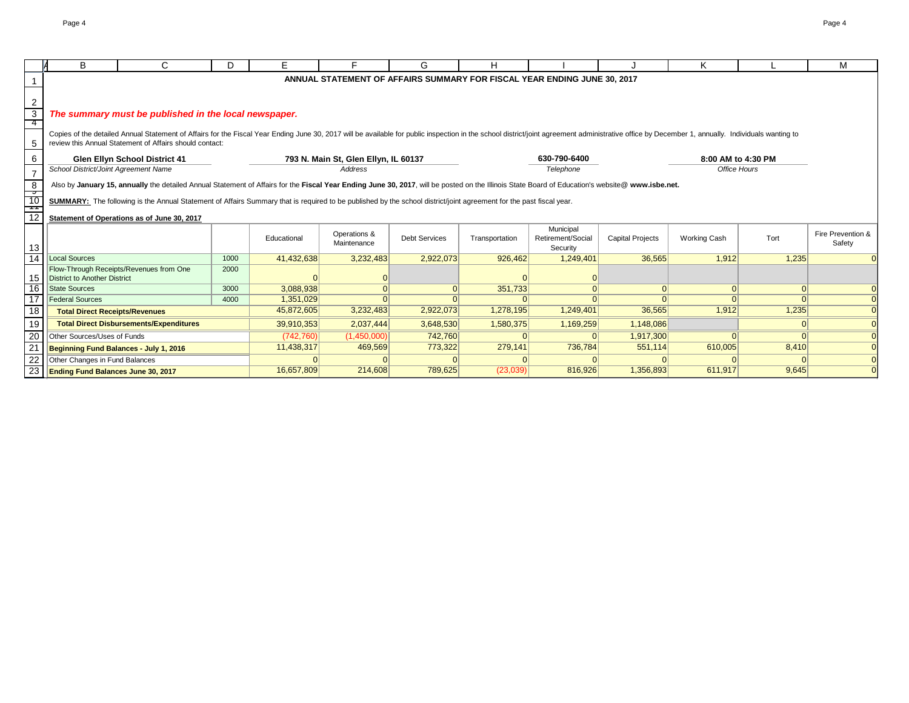|                      | В                                           | C                                                                                                                                                                                                                              | D.   | E.          |              | G.                   | н              |                                                                          |                         | Κ                   |          | М                 |
|----------------------|---------------------------------------------|--------------------------------------------------------------------------------------------------------------------------------------------------------------------------------------------------------------------------------|------|-------------|--------------|----------------------|----------------|--------------------------------------------------------------------------|-------------------------|---------------------|----------|-------------------|
|                      |                                             |                                                                                                                                                                                                                                |      |             |              |                      |                | ANNUAL STATEMENT OF AFFAIRS SUMMARY FOR FISCAL YEAR ENDING JUNE 30, 2017 |                         |                     |          |                   |
|                      |                                             |                                                                                                                                                                                                                                |      |             |              |                      |                |                                                                          |                         |                     |          |                   |
|                      |                                             |                                                                                                                                                                                                                                |      |             |              |                      |                |                                                                          |                         |                     |          |                   |
| 2                    |                                             |                                                                                                                                                                                                                                |      |             |              |                      |                |                                                                          |                         |                     |          |                   |
| $\overline{3}$<br>-4 |                                             | The summary must be published in the local newspaper.                                                                                                                                                                          |      |             |              |                      |                |                                                                          |                         |                     |          |                   |
|                      |                                             | Copies of the detailed Annual Statement of Affairs for the Fiscal Year Ending June 30, 2017 will be available for public inspection in the school district/joint agreement administrative office by December 1, annually. Indi |      |             |              |                      |                |                                                                          |                         |                     |          |                   |
| -5                   |                                             | review this Annual Statement of Affairs should contact:                                                                                                                                                                        |      |             |              |                      |                |                                                                          |                         |                     |          |                   |
| 6                    |                                             | 8:00 AM to 4:30 PM<br><b>Glen Ellyn School District 41</b><br>793 N. Main St, Glen Ellyn, IL 60137                                                                                                                             |      |             |              |                      |                |                                                                          |                         |                     |          |                   |
|                      | School District/Joint Agreement Name        |                                                                                                                                                                                                                                |      |             | Address      |                      |                | 630-790-6400<br>Telephone                                                |                         | <b>Office Hours</b> |          |                   |
| $\overline{7}$       |                                             |                                                                                                                                                                                                                                |      |             |              |                      |                |                                                                          |                         |                     |          |                   |
| 8                    |                                             | Also by January 15, annually the detailed Annual Statement of Affairs for the Fiscal Year Ending June 30, 2017, will be posted on the Illinois State Board of Education's website@ www.isbe.net.                               |      |             |              |                      |                |                                                                          |                         |                     |          |                   |
| __<br>10             |                                             | SUMMARY: The following is the Annual Statement of Affairs Summary that is required to be published by the school district/joint agreement for the past fiscal year.                                                            |      |             |              |                      |                |                                                                          |                         |                     |          |                   |
| ┯                    |                                             |                                                                                                                                                                                                                                |      |             |              |                      |                |                                                                          |                         |                     |          |                   |
| 12                   | Statement of Operations as of June 30, 2017 |                                                                                                                                                                                                                                |      |             |              |                      |                |                                                                          |                         |                     |          |                   |
|                      |                                             |                                                                                                                                                                                                                                |      |             | Operations & |                      |                | Municipal                                                                |                         |                     | Tort     | Fire Prevention & |
| 13                   |                                             |                                                                                                                                                                                                                                |      | Educational | Maintenance  | <b>Debt Services</b> | Transportation | Retirement/Social<br>Security                                            | <b>Capital Projects</b> | <b>Working Cash</b> |          | Safety            |
| $\overline{14}$      | Local Sources                               |                                                                                                                                                                                                                                | 1000 | 41,432,638  | 3,232,483    | 2,922,073            | 926,462        | 1,249,401                                                                | 36,565                  | 1,912               | 1,235    | $\overline{0}$    |
|                      |                                             | Flow-Through Receipts/Revenues from One                                                                                                                                                                                        | 2000 |             |              |                      |                |                                                                          |                         |                     |          |                   |
| 15                   | District to Another District                |                                                                                                                                                                                                                                |      |             |              |                      |                |                                                                          |                         |                     |          |                   |
| 16                   | <b>State Sources</b>                        |                                                                                                                                                                                                                                | 3000 | 3,088,938   | $\Omega$     | $\Omega$             | 351,733        | $\Omega$                                                                 | 0                       | 0                   | 0        | $\overline{0}$    |
| 17                   | <b>Federal Sources</b>                      |                                                                                                                                                                                                                                | 4000 | 1,351,029   | $\Omega$     | $\Omega$             |                |                                                                          | $\Omega$                | $\Omega$            | $\Omega$ | $\overline{0}$    |
| 18                   | <b>Total Direct Receipts/Revenues</b>       |                                                                                                                                                                                                                                |      | 45,872,605  | 3,232,483    | 2,922,073            | 1,278,195      | 1,249,401                                                                | 36,565                  | 1,912               | 1,235    | $\Omega$          |
| 19                   |                                             | <b>Total Direct Disbursements/Expenditures</b>                                                                                                                                                                                 |      | 39,910,353  | 2,037,444    | 3,648,530            | 1,580,375      | 1,169,259                                                                | 1,148,086               |                     | $\Omega$ | $\Omega$          |
| 20                   | Other Sources/Uses of Funds                 |                                                                                                                                                                                                                                |      | (742, 760)  | (1,450,000)  | 742,760              |                |                                                                          | 1,917,300               | $\Omega$            |          | $\Omega$          |
| 21                   | Beginning Fund Balances - July 1, 2016      |                                                                                                                                                                                                                                |      | 11,438,317  | 469,569      | 773,322              | 279,141        | 736,784                                                                  | 551,114                 | 610,005             | 8,410    | $\overline{0}$    |
| 22                   | Other Changes in Fund Balances              |                                                                                                                                                                                                                                |      |             |              |                      |                |                                                                          |                         |                     |          | $\overline{0}$    |
|                      | 23   Ending Fund Balances June 30, 2017     |                                                                                                                                                                                                                                |      | 16,657,809  | 214,608      | 789,625              | (23,039)       | 816,926                                                                  | 1,356,893               | 611,917             | 9,645    | $\Omega$          |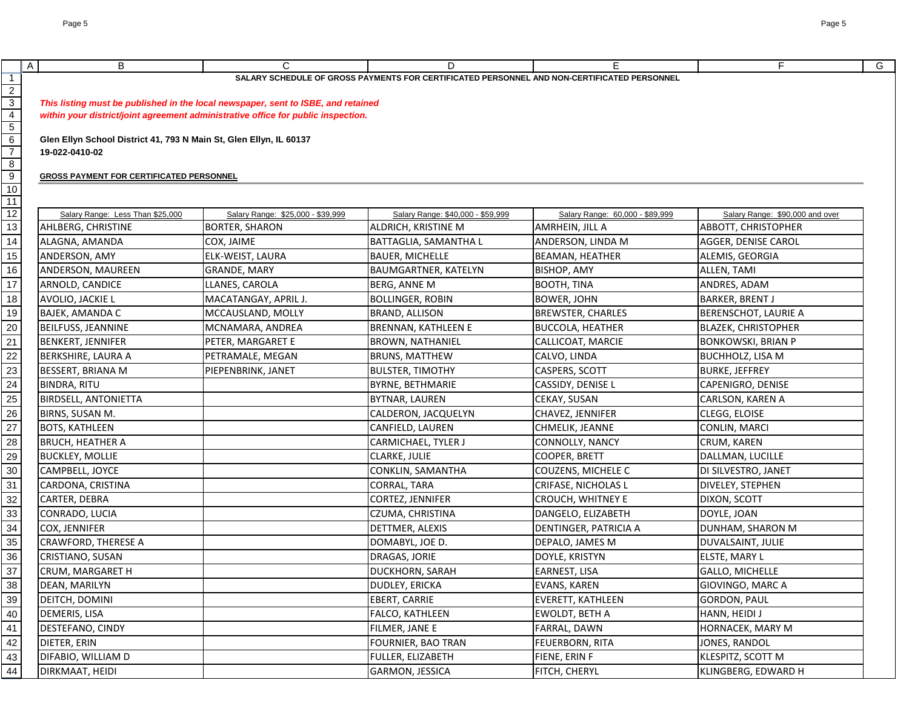| $\overline{A}$<br>B                             | $\mathsf{C}$                                                                      | D                                                                                           | F                                         | F                               |
|-------------------------------------------------|-----------------------------------------------------------------------------------|---------------------------------------------------------------------------------------------|-------------------------------------------|---------------------------------|
|                                                 |                                                                                   | SALARY SCHEDULE OF GROSS PAYMENTS FOR CERTIFICATED PERSONNEL AND NON-CERTIFICATED PERSONNEL |                                           |                                 |
|                                                 | This listing must be published in the local newspaper, sent to ISBE, and retained |                                                                                             |                                           |                                 |
|                                                 | within your district/joint agreement administrative office for public inspection. |                                                                                             |                                           |                                 |
|                                                 |                                                                                   |                                                                                             |                                           |                                 |
|                                                 | Glen Ellyn School District 41, 793 N Main St, Glen Ellyn, IL 60137                |                                                                                             |                                           |                                 |
| 19-022-0410-02                                  |                                                                                   |                                                                                             |                                           |                                 |
|                                                 |                                                                                   |                                                                                             |                                           |                                 |
| <b>GROSS PAYMENT FOR CERTIFICATED PERSONNEL</b> |                                                                                   |                                                                                             |                                           |                                 |
|                                                 |                                                                                   |                                                                                             |                                           |                                 |
| Salary Range: Less Than \$25,000                | Salary Range: \$25,000 - \$39,999                                                 | Salary Range: \$40,000 - \$59,999                                                           | Salary Range: 60,000 - \$89,999           | Salary Range: \$90,000 and over |
| AHLBERG, CHRISTINE                              | <b>BORTER, SHARON</b>                                                             | ALDRICH, KRISTINE M                                                                         | AMRHEIN, JILL A                           | ABBOTT, CHRISTOPHER             |
| ALAGNA, AMANDA                                  | COX, JAIME                                                                        | BATTAGLIA, SAMANTHA L                                                                       | ANDERSON, LINDA M                         | AGGER, DENISE CAROL             |
| ANDERSON, AMY                                   | ELK-WEIST, LAURA                                                                  | <b>BAUER, MICHELLE</b>                                                                      | <b>BEAMAN, HEATHER</b>                    | ALEMIS, GEORGIA                 |
| ANDERSON, MAUREEN                               | <b>GRANDE, MARY</b>                                                               | <b>BAUMGARTNER, KATELYN</b>                                                                 | BISHOP, AMY                               | ALLEN, TAMI                     |
| ARNOLD, CANDICE                                 | LLANES, CAROLA                                                                    | <b>BERG, ANNE M</b>                                                                         | BOOTH, TINA                               | ANDRES, ADAM                    |
| AVOLIO, JACKIE L                                | MACATANGAY, APRIL J.                                                              | <b>BOLLINGER, ROBIN</b>                                                                     | <b>BOWER, JOHN</b>                        | <b>BARKER, BRENT J</b>          |
| BAJEK, AMANDA C                                 | MCCAUSLAND, MOLLY                                                                 | <b>BRAND, ALLISON</b>                                                                       | <b>BREWSTER, CHARLES</b>                  | BERENSCHOT, LAURIE A            |
| <b>BEILFUSS, JEANNINE</b>                       | MCNAMARA, ANDREA                                                                  | <b>BRENNAN, KATHLEEN E</b>                                                                  | <b>BUCCOLA, HEATHER</b>                   | <b>BLAZEK, CHRISTOPHER</b>      |
| <b>BENKERT, JENNIFER</b>                        | PETER, MARGARET E                                                                 | <b>BROWN, NATHANIEL</b>                                                                     | CALLICOAT, MARCIE                         | <b>BONKOWSKI, BRIAN P</b>       |
| <b>BERKSHIRE, LAURA A</b>                       | PETRAMALE, MEGAN                                                                  | <b>BRUNS, MATTHEW</b>                                                                       | CALVO, LINDA                              | <b>BUCHHOLZ, LISA M</b>         |
| <b>BESSERT, BRIANA M</b>                        | PIEPENBRINK, JANET                                                                | <b>BULSTER, TIMOTHY</b>                                                                     | CASPERS, SCOTT                            | <b>BURKE, JEFFREY</b>           |
| <b>BINDRA, RITU</b>                             |                                                                                   | <b>BYRNE, BETHMARIE</b>                                                                     | CASSIDY, DENISE L                         | CAPENIGRO, DENISE               |
| <b>BIRDSELL, ANTONIETTA</b>                     |                                                                                   | <b>BYTNAR, LAUREN</b>                                                                       | CEKAY, SUSAN                              | CARLSON, KAREN A                |
|                                                 |                                                                                   |                                                                                             |                                           | CLEGG, ELOISE                   |
| BIRNS, SUSAN M.<br><b>BOTS, KATHLEEN</b>        |                                                                                   | CALDERON, JACQUELYN                                                                         | CHAVEZ, JENNIFER                          |                                 |
| <b>BRUCH, HEATHER A</b>                         |                                                                                   | CANFIELD, LAUREN                                                                            | CHMELIK, JEANNE<br><b>CONNOLLY, NANCY</b> | CONLIN, MARCI                   |
|                                                 |                                                                                   | <b>CARMICHAEL, TYLER J</b>                                                                  |                                           | CRUM, KAREN                     |
| <b>BUCKLEY, MOLLIE</b>                          |                                                                                   | <b>CLARKE, JULIE</b>                                                                        | COOPER, BRETT                             | DALLMAN, LUCILLE                |
| CAMPBELL, JOYCE                                 |                                                                                   | <b>CONKLIN, SAMANTHA</b>                                                                    | COUZENS, MICHELE C                        | DI SILVESTRO, JANET             |
| CARDONA, CRISTINA                               |                                                                                   | <b>CORRAL, TARA</b>                                                                         | CRIFASE, NICHOLAS L                       | DIVELEY, STEPHEN                |
| <b>CARTER, DEBRA</b>                            |                                                                                   | CORTEZ, JENNIFER                                                                            | <b>CROUCH, WHITNEY E</b>                  | <b>DIXON, SCOTT</b>             |
| CONRADO, LUCIA                                  |                                                                                   | CZUMA, CHRISTINA                                                                            | DANGELO, ELIZABETH                        | DOYLE, JOAN                     |
| <b>COX, JENNIFER</b>                            |                                                                                   | DETTMER, ALEXIS                                                                             | DENTINGER, PATRICIA A                     | DUNHAM, SHARON M                |
| <b>CRAWFORD, THERESE A</b>                      |                                                                                   | DOMABYL, JOE D.                                                                             | DEPALO, JAMES M                           | DUVALSAINT, JULIE               |
| CRISTIANO, SUSAN                                |                                                                                   | DRAGAS, JORIE                                                                               | DOYLE, KRISTYN                            | ELSTE, MARY L                   |
| <b>CRUM, MARGARET H</b>                         |                                                                                   | <b>DUCKHORN, SARAH</b>                                                                      | EARNEST, LISA                             | <b>GALLO, MICHELLE</b>          |
| DEAN, MARILYN                                   |                                                                                   | <b>DUDLEY, ERICKA</b>                                                                       | EVANS, KAREN                              | GIOVINGO, MARC A                |
| DEITCH, DOMINI                                  |                                                                                   | EBERT, CARRIE                                                                               | EVERETT, KATHLEEN                         | <b>GORDON, PAUL</b>             |
| DEMERIS, LISA                                   |                                                                                   | <b>FALCO, KATHLEEN</b>                                                                      | EWOLDT, BETH A                            | HANN, HEIDI J                   |
| DESTEFANO, CINDY                                |                                                                                   | FILMER, JANE E                                                                              | FARRAL, DAWN                              | HORNACEK, MARY M                |
| DIETER, ERIN                                    |                                                                                   | FOURNIER, BAO TRAN                                                                          | FEUERBORN, RITA                           | JONES, RANDOL                   |
| DIFABIO, WILLIAM D                              |                                                                                   | FULLER, ELIZABETH                                                                           | FIENE, ERIN F                             | KLESPITZ, SCOTT M               |
| DIRKMAAT, HEIDI                                 |                                                                                   | GARMON, JESSICA                                                                             | FITCH, CHERYL                             | KLINGBERG, EDWARD H             |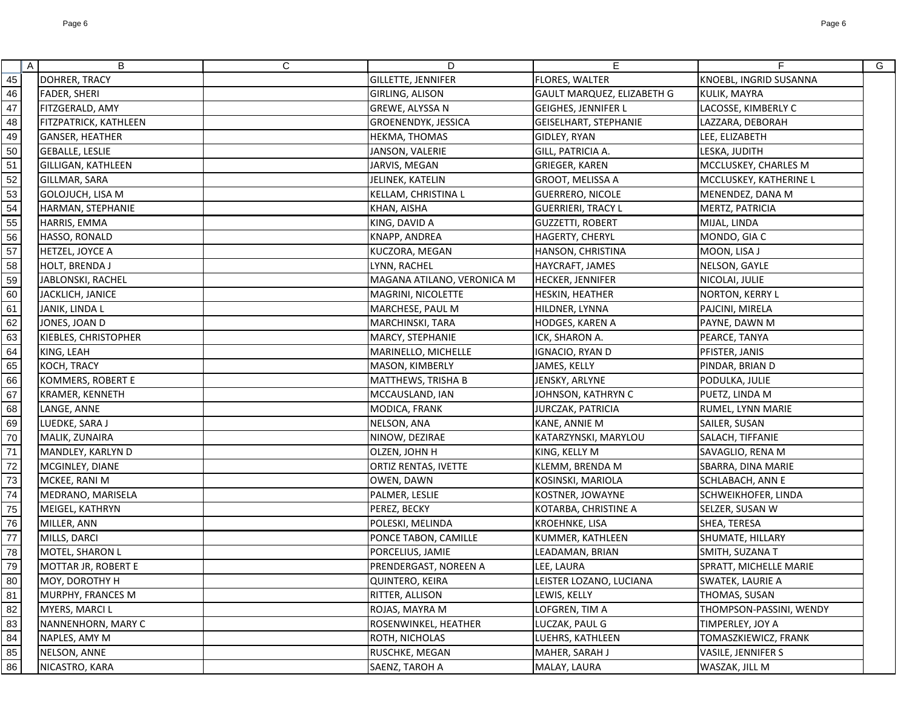|                                                                                 | $\mathsf{A}$ | B                          | $\mathsf{C}$ | D                           | E                          | F.                      | G |
|---------------------------------------------------------------------------------|--------------|----------------------------|--------------|-----------------------------|----------------------------|-------------------------|---|
| 45                                                                              |              | <b>DOHRER, TRACY</b>       |              | <b>GILLETTE, JENNIFER</b>   | FLORES, WALTER             | KNOEBL, INGRID SUSANNA  |   |
| 46                                                                              |              | <b>FADER, SHERI</b>        |              | GIRLING, ALISON             | GAULT MARQUEZ, ELIZABETH G | KULIK, MAYRA            |   |
| $\frac{47}{48}$                                                                 |              | FITZGERALD, AMY            |              | GREWE, ALYSSA N             | <b>GEIGHES, JENNIFER L</b> | LACOSSE, KIMBERLY C     |   |
|                                                                                 |              | FITZPATRICK, KATHLEEN      |              | GROENENDYK, JESSICA         | GEISELHART, STEPHANIE      | LAZZARA, DEBORAH        |   |
|                                                                                 |              | GANSER, HEATHER            |              | HEKMA, THOMAS               | GIDLEY, RYAN               | LEE, ELIZABETH          |   |
| 50<br>51                                                                        |              | <b>GEBALLE, LESLIE</b>     |              | JANSON, VALERIE             | GILL, PATRICIA A.          | LESKA, JUDITH           |   |
|                                                                                 |              | <b>GILLIGAN, KATHLEEN</b>  |              | JARVIS, MEGAN               | <b>GRIEGER, KAREN</b>      | MCCLUSKEY, CHARLES M    |   |
|                                                                                 |              | GILLMAR, SARA              |              | JELINEK, KATELIN            | GROOT, MELISSA A           | MCCLUSKEY, KATHERINE L  |   |
|                                                                                 |              | GOLOJUCH, LISA M           |              | <b>KELLAM, CHRISTINA L</b>  | <b>GUERRERO, NICOLE</b>    | MENENDEZ, DANA M        |   |
| $\frac{52}{53}$<br>$\frac{53}{54}$<br>$\frac{55}{56}$<br>$\frac{57}{58}$        |              | HARMAN, STEPHANIE          |              | KHAN, AISHA                 | <b>GUERRIERI, TRACY L</b>  | MERTZ, PATRICIA         |   |
|                                                                                 |              | HARRIS, EMMA               |              | KING, DAVID A               | <b>GUZZETTI, ROBERT</b>    | MIJAL, LINDA            |   |
|                                                                                 |              | HASSO, RONALD              |              | KNAPP, ANDREA               | HAGERTY, CHERYL            | MONDO, GIA C            |   |
|                                                                                 |              | <b>HETZEL, JOYCE A</b>     |              | KUCZORA, MEGAN              | HANSON, CHRISTINA          | MOON, LISA J            |   |
|                                                                                 |              | <b>HOLT, BRENDA J</b>      |              | LYNN, RACHEL                | HAYCRAFT, JAMES            | NELSON, GAYLE           |   |
| $\frac{59}{60}$                                                                 |              | JABLONSKI, RACHEL          |              | MAGANA ATILANO, VERONICA M  | HECKER, JENNIFER           | NICOLAI, JULIE          |   |
|                                                                                 |              | JACKLICH, JANICE           |              | MAGRINI, NICOLETTE          | HESKIN, HEATHER            | <b>NORTON, KERRY L</b>  |   |
| 61                                                                              |              | JANIK, LINDA L             |              | MARCHESE, PAUL M            | HILDNER, LYNNA             | PAJCINI, MIRELA         |   |
|                                                                                 |              | JONES, JOAN D              |              | MARCHINSKI, TARA            | HODGES, KAREN A            | PAYNE, DAWN M           |   |
|                                                                                 |              | KIEBLES, CHRISTOPHER       |              | MARCY, STEPHANIE            | ICK, SHARON A.             | PEARCE, TANYA           |   |
|                                                                                 |              | KING, LEAH                 |              | MARINELLO, MICHELLE         | IGNACIO, RYAN D            | PFISTER, JANIS          |   |
| $\frac{62}{63}$<br>$\frac{63}{64}$<br>$\frac{65}{66}$<br>$\frac{66}{67}$        |              | <b>KOCH, TRACY</b>         |              | MASON, KIMBERLY             | JAMES, KELLY               | PINDAR, BRIAN D         |   |
|                                                                                 |              | KOMMERS, ROBERT E          |              | MATTHEWS, TRISHA B          | JENSKY, ARLYNE             | PODULKA, JULIE          |   |
|                                                                                 |              | KRAMER, KENNETH            |              | MCCAUSLAND, IAN             | JOHNSON, KATHRYN C         | PUETZ, LINDA M          |   |
| 68<br>69                                                                        |              | LANGE, ANNE                |              | MODICA, FRANK               | JURCZAK, PATRICIA          | RUMEL, LYNN MARIE       |   |
|                                                                                 |              | LUEDKE, SARA J             |              | NELSON, ANA                 | KANE, ANNIE M              | SAILER, SUSAN           |   |
| $\frac{70}{71}$                                                                 |              | MALIK, ZUNAIRA             |              | NINOW, DEZIRAE              | KATARZYNSKI, MARYLOU       | SALACH, TIFFANIE        |   |
|                                                                                 |              | MANDLEY, KARLYN D          |              | OLZEN, JOHN H               | KING, KELLY M              | SAVAGLIO, RENA M        |   |
| 72<br>73                                                                        |              | MCGINLEY, DIANE            |              | <b>ORTIZ RENTAS, IVETTE</b> | KLEMM, BRENDA M            | SBARRA, DINA MARIE      |   |
|                                                                                 |              | MCKEE, RANI M              |              | OWEN, DAWN                  | KOSINSKI, MARIOLA          | SCHLABACH, ANN E        |   |
|                                                                                 |              | MEDRANO, MARISELA          |              | PALMER, LESLIE              | KOSTNER, JOWAYNE           | SCHWEIKHOFER, LINDA     |   |
|                                                                                 |              | MEIGEL, KATHRYN            |              | PEREZ, BECKY                | KOTARBA, CHRISTINE A       | SELZER, SUSAN W         |   |
| 75<br>76<br>77<br>78                                                            |              | MILLER, ANN                |              | POLESKI, MELINDA            | <b>KROEHNKE, LISA</b>      | SHEA, TERESA            |   |
|                                                                                 |              | MILLS, DARCI               |              | PONCE TABON, CAMILLE        | KUMMER, KATHLEEN           | SHUMATE, HILLARY        |   |
|                                                                                 |              | <b>MOTEL, SHARON L</b>     |              | PORCELIUS, JAMIE            | LEADAMAN, BRIAN            | SMITH, SUZANA T         |   |
|                                                                                 |              | <b>MOTTAR JR, ROBERT E</b> |              | PRENDERGAST, NOREEN A       | LEE, LAURA                 | SPRATT, MICHELLE MARIE  |   |
|                                                                                 |              | MOY, DOROTHY H             |              | <b>QUINTERO, KEIRA</b>      | LEISTER LOZANO, LUCIANA    | <b>SWATEK, LAURIE A</b> |   |
| $\frac{79}{80}$ $\frac{80}{81}$ $\frac{82}{83}$ $\frac{83}{84}$ $\frac{84}{85}$ |              | MURPHY, FRANCES M          |              | <b>RITTER, ALLISON</b>      | LEWIS, KELLY               | THOMAS, SUSAN           |   |
|                                                                                 |              | MYERS, MARCI L             |              | ROJAS, MAYRA M              | LOFGREN, TIM A             | THOMPSON-PASSINI, WENDY |   |
|                                                                                 |              | NANNENHORN, MARY C         |              | ROSENWINKEL, HEATHER        | LUCZAK, PAUL G             | TIMPERLEY, JOY A        |   |
|                                                                                 |              | NAPLES, AMY M              |              | <b>ROTH, NICHOLAS</b>       | LUEHRS, KATHLEEN           | TOMASZKIEWICZ, FRANK    |   |
|                                                                                 |              | NELSON, ANNE               |              | RUSCHKE, MEGAN              | MAHER, SARAH J             | VASILE, JENNIFER S      |   |
| $\overline{86}$                                                                 |              | NICASTRO, KARA             |              | SAENZ, TAROH A              | MALAY, LAURA               | WASZAK, JILL M          |   |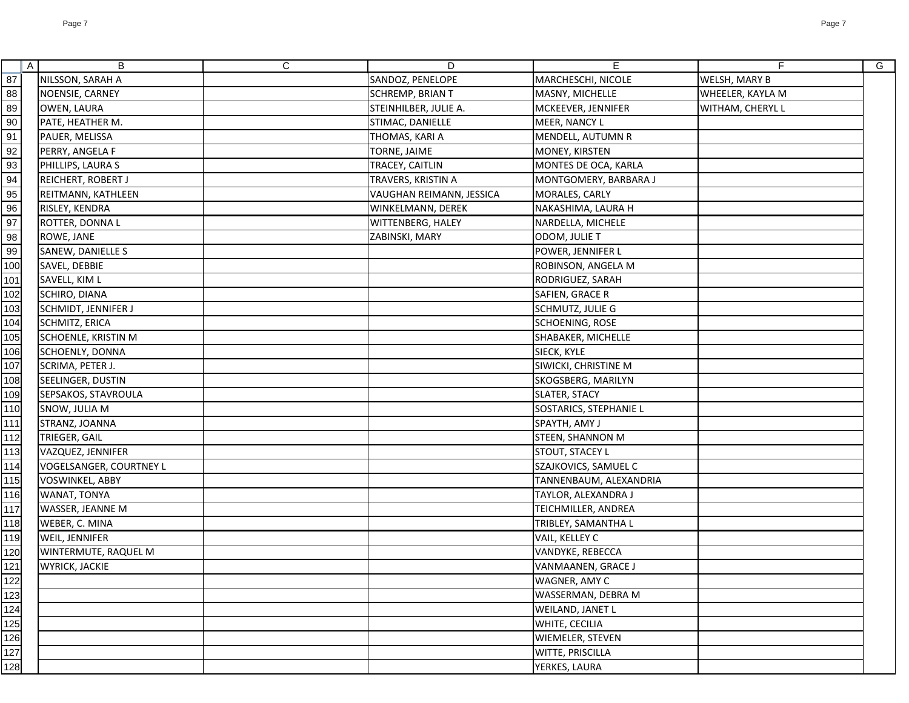| $\mathsf{A}$                       | B                              | $\mathsf C$ | D                        | E                       | F                | G |
|------------------------------------|--------------------------------|-------------|--------------------------|-------------------------|------------------|---|
| 87                                 | NILSSON, SARAH A               |             | SANDOZ, PENELOPE         | MARCHESCHI, NICOLE      | WELSH, MARY B    |   |
| $88\,$                             | NOENSIE, CARNEY                |             | SCHREMP, BRIAN T         | MASNY, MICHELLE         | WHEELER, KAYLA M |   |
| 89                                 | OWEN, LAURA                    |             | STEINHILBER, JULIE A.    | MCKEEVER, JENNIFER      | WITHAM, CHERYL L |   |
| $\frac{1}{90}$                     | PATE, HEATHER M.               |             | STIMAC, DANIELLE         | MEER, NANCY L           |                  |   |
|                                    | PAUER, MELISSA                 |             | THOMAS, KARI A           | MENDELL, AUTUMN R       |                  |   |
|                                    | PERRY, ANGELA F                |             | TORNE, JAIME             | MONEY, KIRSTEN          |                  |   |
| $\frac{91}{92}$<br>$\frac{93}{94}$ | PHILLIPS, LAURA S              |             | TRACEY, CAITLIN          | MONTES DE OCA, KARLA    |                  |   |
|                                    | REICHERT, ROBERT J             |             | TRAVERS, KRISTIN A       | MONTGOMERY, BARBARA J   |                  |   |
| $95\,$                             | REITMANN, KATHLEEN             |             | VAUGHAN REIMANN, JESSICA | MORALES, CARLY          |                  |   |
| $\frac{96}{97}$<br>$\frac{97}{98}$ | <b>RISLEY, KENDRA</b>          |             | WINKELMANN, DEREK        | NAKASHIMA, LAURA H      |                  |   |
|                                    | ROTTER, DONNA L                |             | WITTENBERG, HALEY        | NARDELLA, MICHELE       |                  |   |
|                                    | ROWE, JANE                     |             | ZABINSKI, MARY           | ODOM, JULIE T           |                  |   |
| 99                                 | SANEW, DANIELLE S              |             |                          | POWER, JENNIFER L       |                  |   |
| 100                                | SAVEL, DEBBIE                  |             |                          | ROBINSON, ANGELA M      |                  |   |
| 101                                | SAVELL, KIM L                  |             |                          | RODRIGUEZ, SARAH        |                  |   |
| 102                                | SCHIRO, DIANA                  |             |                          | SAFIEN, GRACE R         |                  |   |
| 103                                | <b>SCHMIDT, JENNIFER J</b>     |             |                          | SCHMUTZ, JULIE G        |                  |   |
| 104                                | <b>SCHMITZ, ERICA</b>          |             |                          | <b>SCHOENING, ROSE</b>  |                  |   |
| 105                                | <b>SCHOENLE, KRISTIN M</b>     |             |                          | SHABAKER, MICHELLE      |                  |   |
| 106                                | SCHOENLY, DONNA                |             |                          | SIECK, KYLE             |                  |   |
| 107                                | SCRIMA, PETER J.               |             |                          | SIWICKI, CHRISTINE M    |                  |   |
| 108                                | SEELINGER, DUSTIN              |             |                          | SKOGSBERG, MARILYN      |                  |   |
| 109                                | SEPSAKOS, STAVROULA            |             |                          | SLATER, STACY           |                  |   |
| 110                                | SNOW, JULIA M                  |             |                          | SOSTARICS, STEPHANIE L  |                  |   |
| 111                                | STRANZ, JOANNA                 |             |                          | SPAYTH, AMY J           |                  |   |
| 112                                | TRIEGER, GAIL                  |             |                          | <b>STEEN, SHANNON M</b> |                  |   |
| 113                                | VAZQUEZ, JENNIFER              |             |                          | <b>STOUT, STACEY L</b>  |                  |   |
| 114                                | <b>VOGELSANGER, COURTNEY L</b> |             |                          | SZAJKOVICS, SAMUEL C    |                  |   |
| 115                                | <b>VOSWINKEL, ABBY</b>         |             |                          | TANNENBAUM, ALEXANDRIA  |                  |   |
| 116                                | WANAT, TONYA                   |             |                          | TAYLOR, ALEXANDRA J     |                  |   |
| 117                                | <b>WASSER, JEANNE M</b>        |             |                          | TEICHMILLER, ANDREA     |                  |   |
| 118                                | WEBER, C. MINA                 |             |                          | TRIBLEY, SAMANTHA L     |                  |   |
| 119                                | WEIL, JENNIFER                 |             |                          | VAIL, KELLEY C          |                  |   |
|                                    | WINTERMUTE, RAQUEL M           |             |                          | VANDYKE, REBECCA        |                  |   |
| $\frac{120}{121}$                  | <b>WYRICK, JACKIE</b>          |             |                          | VANMAANEN, GRACE J      |                  |   |
|                                    |                                |             |                          | WAGNER, AMY C           |                  |   |
| 122<br>123<br>124<br>125<br>126    |                                |             |                          | WASSERMAN, DEBRA M      |                  |   |
|                                    |                                |             |                          | WEILAND, JANET L        |                  |   |
|                                    |                                |             |                          | WHITE, CECILIA          |                  |   |
|                                    |                                |             |                          | WIEMELER, STEVEN        |                  |   |
| $\frac{127}{128}$                  |                                |             |                          | WITTE, PRISCILLA        |                  |   |
|                                    |                                |             |                          | YERKES, LAURA           |                  |   |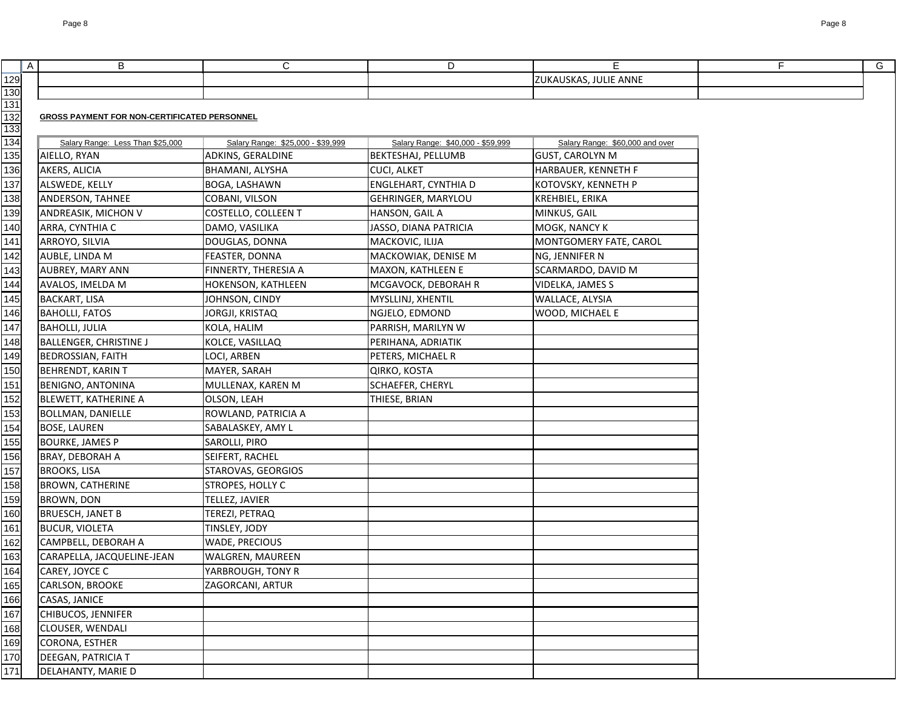|                   | $\mathsf{A}$ | B                                                   | $\mathsf{C}$                      | D                                 | E.                              | F. | G |
|-------------------|--------------|-----------------------------------------------------|-----------------------------------|-----------------------------------|---------------------------------|----|---|
| <u>129</u>        |              |                                                     |                                   |                                   | ZUKAUSKAS, JULIE ANNE           |    |   |
| 130               |              |                                                     |                                   |                                   |                                 |    |   |
| 131               |              |                                                     |                                   |                                   |                                 |    |   |
| 132               |              | <b>GROSS PAYMENT FOR NON-CERTIFICATED PERSONNEL</b> |                                   |                                   |                                 |    |   |
| 133<br>134        |              | Salary Range: Less Than \$25,000                    | Salary Range: \$25,000 - \$39,999 | Salary Range: \$40,000 - \$59,999 | Salary Range: \$60,000 and over |    |   |
| 135               |              | AIELLO, RYAN                                        | ADKINS, GERALDINE                 | <b>BEKTESHAJ, PELLUMB</b>         | <b>GUST, CAROLYN M</b>          |    |   |
| 136               |              | AKERS, ALICIA                                       | BHAMANI, ALYSHA                   | <b>CUCI, ALKET</b>                | HARBAUER, KENNETH F             |    |   |
| 137               |              | ALSWEDE, KELLY                                      | BOGA, LASHAWN                     | ENGLEHART, CYNTHIA D              | KOTOVSKY, KENNETH P             |    |   |
| 138               |              | ANDERSON, TAHNEE                                    | COBANI, VILSON                    | GEHRINGER, MARYLOU                | KREHBIEL, ERIKA                 |    |   |
| 139               |              | ANDREASIK, MICHON V                                 | COSTELLO, COLLEEN T               | HANSON, GAIL A                    | MINKUS, GAIL                    |    |   |
| 140               |              | ARRA, CYNTHIA C                                     | DAMO, VASILIKA                    | JASSO, DIANA PATRICIA             | MOGK, NANCY K                   |    |   |
| 141               |              | ARROYO, SILVIA                                      | DOUGLAS, DONNA                    | MACKOVIC, ILIJA                   | MONTGOMERY FATE, CAROL          |    |   |
| 142               |              | AUBLE, LINDA M                                      | FEASTER, DONNA                    | MACKOWIAK, DENISE M               | NG, JENNIFER N                  |    |   |
| 143               |              | <b>AUBREY, MARY ANN</b>                             | FINNERTY, THERESIA A              | MAXON, KATHLEEN E                 | SCARMARDO, DAVID M              |    |   |
| 144               |              | AVALOS, IMELDA M                                    | HOKENSON, KATHLEEN                | MCGAVOCK, DEBORAH R               | VIDELKA, JAMES S                |    |   |
| 145               |              | <b>BACKART, LISA</b>                                | JOHNSON, CINDY                    | MYSLLINJ, XHENTIL                 | WALLACE, ALYSIA                 |    |   |
| 146               |              | <b>BAHOLLI, FATOS</b>                               | JORGJI, KRISTAQ                   | NGJELO, EDMOND                    | WOOD, MICHAEL E                 |    |   |
| 147               |              | <b>BAHOLLI, JULIA</b>                               | KOLA, HALIM                       | PARRISH, MARILYN W                |                                 |    |   |
| 148               |              | <b>BALLENGER, CHRISTINE J</b>                       | KOLCE, VASILLAQ                   | PERIHANA, ADRIATIK                |                                 |    |   |
| 149               |              | <b>BEDROSSIAN, FAITH</b>                            | LOCI, ARBEN                       | PETERS, MICHAEL R                 |                                 |    |   |
| 150               |              | <b>BEHRENDT, KARIN T</b>                            | MAYER, SARAH                      | QIRKO, KOSTA                      |                                 |    |   |
| 151               |              | <b>BENIGNO, ANTONINA</b>                            | MULLENAX, KAREN M                 | SCHAEFER, CHERYL                  |                                 |    |   |
| 152               |              | <b>BLEWETT, KATHERINE A</b>                         | OLSON, LEAH                       | THIESE, BRIAN                     |                                 |    |   |
| 153               |              | <b>BOLLMAN, DANIELLE</b>                            | ROWLAND, PATRICIA A               |                                   |                                 |    |   |
| 154               |              | <b>BOSE, LAUREN</b>                                 | SABALASKEY, AMY L                 |                                   |                                 |    |   |
| 155               |              | <b>BOURKE, JAMES P</b>                              | SAROLLI, PIRO                     |                                   |                                 |    |   |
| 156               |              | <b>BRAY, DEBORAH A</b>                              | SEIFERT, RACHEL                   |                                   |                                 |    |   |
| 157               |              | <b>BROOKS, LISA</b>                                 | STAROVAS, GEORGIOS                |                                   |                                 |    |   |
| 158               |              | <b>BROWN, CATHERINE</b>                             | STROPES, HOLLY C                  |                                   |                                 |    |   |
| 159               |              | <b>BROWN, DON</b>                                   | TELLEZ, JAVIER                    |                                   |                                 |    |   |
| 160               |              | <b>BRUESCH, JANET B</b>                             | TEREZI, PETRAQ                    |                                   |                                 |    |   |
|                   |              | <b>BUCUR, VIOLETA</b>                               | TINSLEY, JODY                     |                                   |                                 |    |   |
| $\frac{161}{162}$ |              | CAMPBELL, DEBORAH A                                 | <b>WADE, PRECIOUS</b>             |                                   |                                 |    |   |
| 163               |              | CARAPELLA, JACQUELINE-JEAN                          | <b>WALGREN, MAUREEN</b>           |                                   |                                 |    |   |
| 164               |              | CAREY, JOYCE C                                      | YARBROUGH, TONY R                 |                                   |                                 |    |   |
| 165               |              | <b>CARLSON, BROOKE</b>                              | ZAGORCANI, ARTUR                  |                                   |                                 |    |   |
| 166               |              | CASAS, JANICE                                       |                                   |                                   |                                 |    |   |
| $\overline{167}$  |              | CHIBUCOS, JENNIFER                                  |                                   |                                   |                                 |    |   |
| 168               |              | <b>CLOUSER, WENDALI</b>                             |                                   |                                   |                                 |    |   |
| 169               |              | CORONA, ESTHER                                      |                                   |                                   |                                 |    |   |
| 170               |              | DEEGAN, PATRICIA T                                  |                                   |                                   |                                 |    |   |
| 171               |              | <b>DELAHANTY, MARIE D</b>                           |                                   |                                   |                                 |    |   |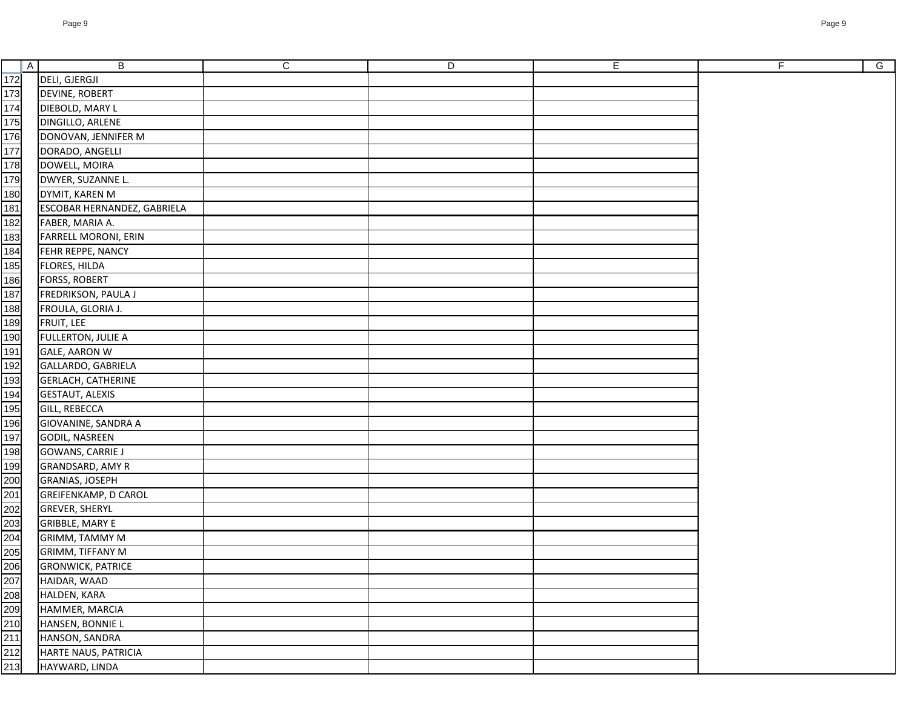| A                                                     | $\mathsf B$                 | $\mathsf{C}$ | D | $\mathsf E$ | $\overline{F}$ | $\overline{G}$ |
|-------------------------------------------------------|-----------------------------|--------------|---|-------------|----------------|----------------|
| 172                                                   | <b>DELI, GJERGJI</b>        |              |   |             |                |                |
|                                                       | <b>DEVINE, ROBERT</b>       |              |   |             |                |                |
|                                                       | DIEBOLD, MARY L             |              |   |             |                |                |
| 173<br>174<br>175<br>176<br>177                       | DINGILLO, ARLENE            |              |   |             |                |                |
|                                                       | DONOVAN, JENNIFER M         |              |   |             |                |                |
|                                                       | DORADO, ANGELLI             |              |   |             |                |                |
|                                                       | DOWELL, MOIRA               |              |   |             |                |                |
|                                                       | DWYER, SUZANNE L.           |              |   |             |                |                |
| 178<br>179<br>180<br>181<br>182                       | DYMIT, KAREN M              |              |   |             |                |                |
|                                                       | ESCOBAR HERNANDEZ, GABRIELA |              |   |             |                |                |
|                                                       | FABER, MARIA A.             |              |   |             |                |                |
|                                                       | FARRELL MORONI, ERIN        |              |   |             |                |                |
|                                                       | FEHR REPPE, NANCY           |              |   |             |                |                |
|                                                       | FLORES, HILDA               |              |   |             |                |                |
|                                                       | <b>FORSS, ROBERT</b>        |              |   |             |                |                |
| 183<br>184<br>185<br>186<br>187                       | FREDRIKSON, PAULA J         |              |   |             |                |                |
|                                                       | FROULA, GLORIA J.           |              |   |             |                |                |
| 188<br>189<br>190<br>191                              | FRUIT, LEE                  |              |   |             |                |                |
|                                                       | <b>FULLERTON, JULIE A</b>   |              |   |             |                |                |
|                                                       | <b>GALE, AARON W</b>        |              |   |             |                |                |
|                                                       | GALLARDO, GABRIELA          |              |   |             |                |                |
|                                                       | <b>GERLACH, CATHERINE</b>   |              |   |             |                |                |
|                                                       | <b>GESTAUT, ALEXIS</b>      |              |   |             |                |                |
|                                                       | <b>GILL, REBECCA</b>        |              |   |             |                |                |
| $\frac{192}{193}$ $\frac{193}{195}$ $\frac{195}{196}$ | GIOVANINE, SANDRA A         |              |   |             |                |                |
|                                                       | <b>GODIL, NASREEN</b>       |              |   |             |                |                |
|                                                       | <b>GOWANS, CARRIE J</b>     |              |   |             |                |                |
|                                                       | GRANDSARD, AMY R            |              |   |             |                |                |
|                                                       | GRANIAS, JOSEPH             |              |   |             |                |                |
|                                                       | <b>GREIFENKAMP, D CAROL</b> |              |   |             |                |                |
|                                                       | <b>GREVER, SHERYL</b>       |              |   |             |                |                |
|                                                       | <b>GRIBBLE, MARY E</b>      |              |   |             |                |                |
|                                                       | GRIMM, TAMMY M              |              |   |             |                |                |
|                                                       | GRIMM, TIFFANY M            |              |   |             |                |                |
|                                                       | <b>GRONWICK, PATRICE</b>    |              |   |             |                |                |
|                                                       | HAIDAR, WAAD                |              |   |             |                |                |
|                                                       | HALDEN, KARA                |              |   |             |                |                |
|                                                       | HAMMER, MARCIA              |              |   |             |                |                |
|                                                       | HANSEN, BONNIE L            |              |   |             |                |                |
|                                                       | HANSON, SANDRA              |              |   |             |                |                |
|                                                       | HARTE NAUS, PATRICIA        |              |   |             |                |                |
|                                                       | HAYWARD, LINDA              |              |   |             |                |                |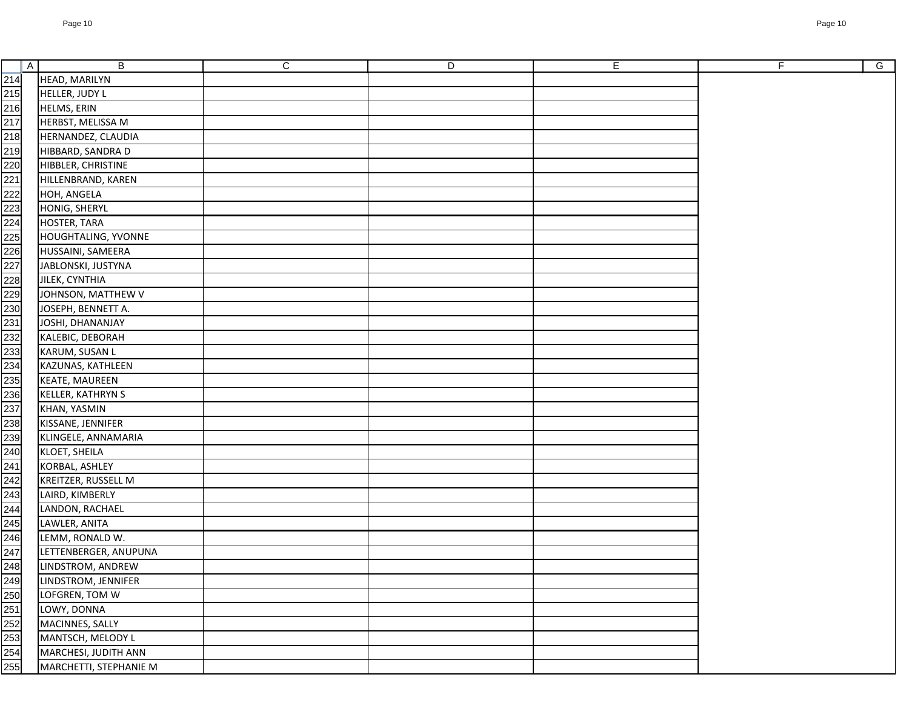|                  | $\boldsymbol{\mathsf{A}}$ | $\mathsf B$                | ${\bf C}$ | $\overline{D}$ | $\overline{E}$ |
|------------------|---------------------------|----------------------------|-----------|----------------|----------------|
| 214              |                           | HEAD, MARILYN              |           |                |                |
| 215              |                           | HELLER, JUDY L             |           |                |                |
| 216              |                           | HELMS, ERIN                |           |                |                |
| 217              |                           | HERBST, MELISSA M          |           |                |                |
| 218              |                           | HERNANDEZ, CLAUDIA         |           |                |                |
| 219              |                           | HIBBARD, SANDRA D          |           |                |                |
| 220              |                           | HIBBLER, CHRISTINE         |           |                |                |
| $221$            |                           | HILLENBRAND, KAREN         |           |                |                |
| 222              |                           | HOH, ANGELA                |           |                |                |
| 223              |                           | HONIG, SHERYL              |           |                |                |
| 224              |                           | HOSTER, TARA               |           |                |                |
| 225              |                           | <b>HOUGHTALING, YVONNE</b> |           |                |                |
| 226              |                           | HUSSAINI, SAMEERA          |           |                |                |
| $\overline{227}$ |                           | JABLONSKI, JUSTYNA         |           |                |                |
| 228              |                           | JILEK, CYNTHIA             |           |                |                |
| 229              |                           | JOHNSON, MATTHEW V         |           |                |                |
| 230              |                           | JOSEPH, BENNETT A.         |           |                |                |
| 231              |                           | JOSHI, DHANANJAY           |           |                |                |
|                  |                           | KALEBIC, DEBORAH           |           |                |                |
| 232<br>233       |                           | KARUM, SUSAN L             |           |                |                |
| 234              |                           | KAZUNAS, KATHLEEN          |           |                |                |
| 235              |                           | <b>KEATE, MAUREEN</b>      |           |                |                |
| 236              |                           | KELLER, KATHRYN S          |           |                |                |
| 237              |                           | KHAN, YASMIN               |           |                |                |
| 238              |                           | KISSANE, JENNIFER          |           |                |                |
| 239              |                           | KLINGELE, ANNAMARIA        |           |                |                |
| 240              |                           | KLOET, SHEILA              |           |                |                |
| 241              |                           | KORBAL, ASHLEY             |           |                |                |
| 242              |                           | KREITZER, RUSSELL M        |           |                |                |
| 243              |                           | LAIRD, KIMBERLY            |           |                |                |
| 244              |                           | LANDON, RACHAEL            |           |                |                |
| 245              |                           | LAWLER, ANITA              |           |                |                |
| 246              |                           | LEMM, RONALD W.            |           |                |                |
| 247              |                           | LETTENBERGER, ANUPUNA      |           |                |                |
| 248              |                           | LINDSTROM, ANDREW          |           |                |                |
| 249              |                           | LINDSTROM, JENNIFER        |           |                |                |
| 250              |                           | LOFGREN, TOM W             |           |                |                |
|                  |                           | LOWY, DONNA                |           |                |                |
| 251<br>252       |                           | MACINNES, SALLY            |           |                |                |
|                  |                           | MANTSCH, MELODY L          |           |                |                |
| 253<br>254       |                           | MARCHESI, JUDITH ANN       |           |                |                |
| 255              |                           | MARCHETTI, STEPHANIE M     |           |                |                |
|                  |                           |                            |           |                |                |

G

 $F$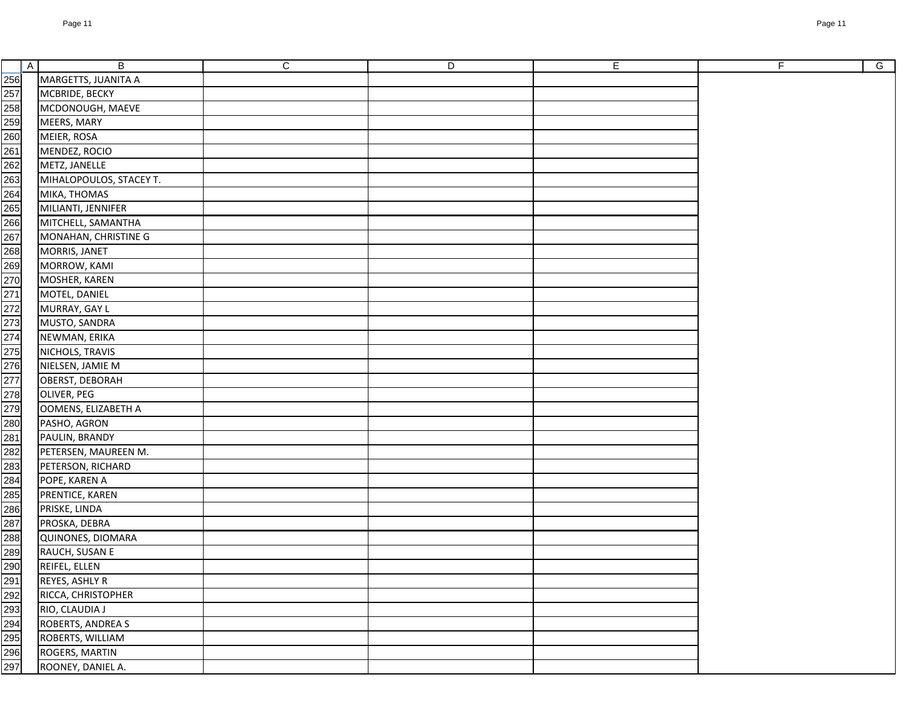|                                                                                                                                                                                                                                | A | B                          | $\mathsf{C}$ | D | E | F | $\overline{G}$ |
|--------------------------------------------------------------------------------------------------------------------------------------------------------------------------------------------------------------------------------|---|----------------------------|--------------|---|---|---|----------------|
|                                                                                                                                                                                                                                |   | MARGETTS, JUANITA A        |              |   |   |   |                |
|                                                                                                                                                                                                                                |   | MCBRIDE, BECKY             |              |   |   |   |                |
|                                                                                                                                                                                                                                |   | MCDONOUGH, MAEVE           |              |   |   |   |                |
|                                                                                                                                                                                                                                |   | MEERS, MARY                |              |   |   |   |                |
|                                                                                                                                                                                                                                |   | MEIER, ROSA                |              |   |   |   |                |
|                                                                                                                                                                                                                                |   | MENDEZ, ROCIO              |              |   |   |   |                |
|                                                                                                                                                                                                                                |   | METZ, JANELLE              |              |   |   |   |                |
|                                                                                                                                                                                                                                |   | MIHALOPOULOS, STACEY T.    |              |   |   |   |                |
|                                                                                                                                                                                                                                |   | MIKA, THOMAS               |              |   |   |   |                |
|                                                                                                                                                                                                                                |   | MILIANTI, JENNIFER         |              |   |   |   |                |
|                                                                                                                                                                                                                                |   | MITCHELL, SAMANTHA         |              |   |   |   |                |
|                                                                                                                                                                                                                                |   | MONAHAN, CHRISTINE G       |              |   |   |   |                |
|                                                                                                                                                                                                                                |   | MORRIS, JANET              |              |   |   |   |                |
|                                                                                                                                                                                                                                |   | MORROW, KAMI               |              |   |   |   |                |
|                                                                                                                                                                                                                                |   | MOSHER, KAREN              |              |   |   |   |                |
|                                                                                                                                                                                                                                |   | MOTEL, DANIEL              |              |   |   |   |                |
|                                                                                                                                                                                                                                |   | MURRAY, GAY L              |              |   |   |   |                |
|                                                                                                                                                                                                                                |   | MUSTO, SANDRA              |              |   |   |   |                |
|                                                                                                                                                                                                                                |   | NEWMAN, ERIKA              |              |   |   |   |                |
|                                                                                                                                                                                                                                |   | NICHOLS, TRAVIS            |              |   |   |   |                |
|                                                                                                                                                                                                                                |   | NIELSEN, JAMIE M           |              |   |   |   |                |
|                                                                                                                                                                                                                                |   | OBERST, DEBORAH            |              |   |   |   |                |
|                                                                                                                                                                                                                                |   | OLIVER, PEG                |              |   |   |   |                |
|                                                                                                                                                                                                                                |   | <b>OOMENS, ELIZABETH A</b> |              |   |   |   |                |
|                                                                                                                                                                                                                                |   | PASHO, AGRON               |              |   |   |   |                |
|                                                                                                                                                                                                                                |   | PAULIN, BRANDY             |              |   |   |   |                |
|                                                                                                                                                                                                                                |   | PETERSEN, MAUREEN M.       |              |   |   |   |                |
|                                                                                                                                                                                                                                |   | PETERSON, RICHARD          |              |   |   |   |                |
|                                                                                                                                                                                                                                |   | POPE, KAREN A              |              |   |   |   |                |
|                                                                                                                                                                                                                                |   | PRENTICE, KAREN            |              |   |   |   |                |
|                                                                                                                                                                                                                                |   | PRISKE, LINDA              |              |   |   |   |                |
|                                                                                                                                                                                                                                |   | PROSKA, DEBRA              |              |   |   |   |                |
|                                                                                                                                                                                                                                |   | QUINONES, DIOMARA          |              |   |   |   |                |
|                                                                                                                                                                                                                                |   | RAUCH, SUSAN E             |              |   |   |   |                |
|                                                                                                                                                                                                                                |   | REIFEL, ELLEN              |              |   |   |   |                |
|                                                                                                                                                                                                                                |   | REYES, ASHLY R             |              |   |   |   |                |
|                                                                                                                                                                                                                                |   | RICCA, CHRISTOPHER         |              |   |   |   |                |
|                                                                                                                                                                                                                                |   | RIO, CLAUDIA J             |              |   |   |   |                |
|                                                                                                                                                                                                                                |   | ROBERTS, ANDREA S          |              |   |   |   |                |
|                                                                                                                                                                                                                                |   | ROBERTS, WILLIAM           |              |   |   |   |                |
| 250 250 260 261 262 263 264 265 262 272 273 274 275 282 283 284 285 287 288 289 291 292 293 294 295 292 293 292 293 292 293 292 293 292 293 292 293 292 293 292 293 292 293 292 293 292 293 292 293 292 293 292 293 292 293 29 |   | ROGERS, MARTIN             |              |   |   |   |                |
|                                                                                                                                                                                                                                |   | ROONEY, DANIEL A.          |              |   |   |   |                |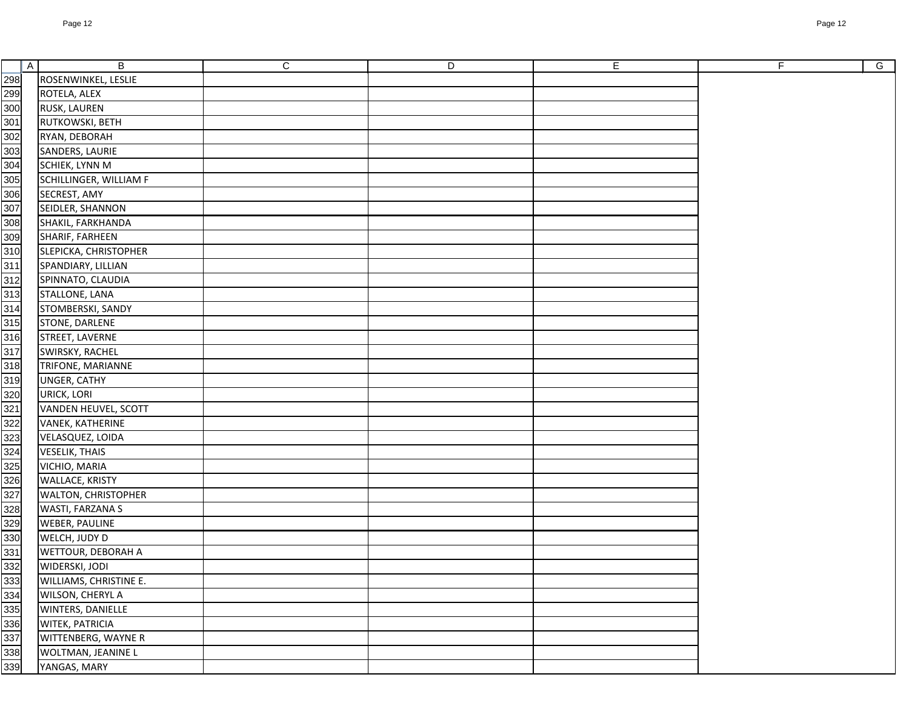| 298<br>299<br>300<br>ROSENWINKEL, LESLIE<br>ROTELA, ALEX<br><b>RUSK, LAUREN</b><br>301<br>RUTKOWSKI, BETH<br>302<br>RYAN, DEBORAH<br>$\frac{303}{2}$<br>SANDERS, LAURIE<br>304<br>305<br>306<br>SCHIEK, LYNN M<br>SCHILLINGER, WILLIAM F<br>SECREST, AMY<br>307<br>SEIDLER, SHANNON<br>$\frac{1}{308}$<br>SHAKIL, FARKHANDA<br>309<br>SHARIF, FARHEEN<br>310<br>SLEPICKA, CHRISTOPHER<br>311<br>SPANDIARY, LILLIAN<br>$\frac{312}{313}$<br>SPINNATO, CLAUDIA<br>STALLONE, LANA<br>$\frac{314}{2}$<br>STOMBERSKI, SANDY<br>315<br>STONE, DARLENE<br>316<br>STREET, LAVERNE<br>$\frac{317}{2}$<br><b>SWIRSKY, RACHEL</b><br>318<br>TRIFONE, MARIANNE<br>319<br>UNGER, CATHY<br>320<br>URICK, LORI<br>321<br>VANDEN HEUVEL, SCOTT<br>$\frac{322}{2}$<br>VANEK, KATHERINE<br>323<br>324<br>VELASQUEZ, LOIDA<br><b>VESELIK, THAIS</b><br>325<br>326<br>327<br>VICHIO, MARIA<br><b>WALLACE, KRISTY</b><br><b>WALTON, CHRISTOPHER</b><br>328<br>329<br><b>WASTI, FARZANA S</b><br><b>WEBER, PAULINE</b><br>WELCH, JUDY D<br><b>WETTOUR, DEBORAH A</b><br>WIDERSKI, JODI<br><b>WILLIAMS, CHRISTINE E.</b><br><b>WILSON, CHERYL A</b><br><b>WINTERS, DANIELLE</b><br>WITEK, PATRICIA<br><b>WITTENBERG, WAYNE R</b><br><b>WOLTMAN, JEANINE L</b><br>YANGAS, MARY | A | B | C | D | E. | F. |
|--------------------------------------------------------------------------------------------------------------------------------------------------------------------------------------------------------------------------------------------------------------------------------------------------------------------------------------------------------------------------------------------------------------------------------------------------------------------------------------------------------------------------------------------------------------------------------------------------------------------------------------------------------------------------------------------------------------------------------------------------------------------------------------------------------------------------------------------------------------------------------------------------------------------------------------------------------------------------------------------------------------------------------------------------------------------------------------------------------------------------------------------------------------------------------------------------------------------------------------------------------|---|---|---|---|----|----|
|                                                                                                                                                                                                                                                                                                                                                                                                                                                                                                                                                                                                                                                                                                                                                                                                                                                                                                                                                                                                                                                                                                                                                                                                                                                        |   |   |   |   |    |    |
|                                                                                                                                                                                                                                                                                                                                                                                                                                                                                                                                                                                                                                                                                                                                                                                                                                                                                                                                                                                                                                                                                                                                                                                                                                                        |   |   |   |   |    |    |
|                                                                                                                                                                                                                                                                                                                                                                                                                                                                                                                                                                                                                                                                                                                                                                                                                                                                                                                                                                                                                                                                                                                                                                                                                                                        |   |   |   |   |    |    |
|                                                                                                                                                                                                                                                                                                                                                                                                                                                                                                                                                                                                                                                                                                                                                                                                                                                                                                                                                                                                                                                                                                                                                                                                                                                        |   |   |   |   |    |    |
|                                                                                                                                                                                                                                                                                                                                                                                                                                                                                                                                                                                                                                                                                                                                                                                                                                                                                                                                                                                                                                                                                                                                                                                                                                                        |   |   |   |   |    |    |
|                                                                                                                                                                                                                                                                                                                                                                                                                                                                                                                                                                                                                                                                                                                                                                                                                                                                                                                                                                                                                                                                                                                                                                                                                                                        |   |   |   |   |    |    |
|                                                                                                                                                                                                                                                                                                                                                                                                                                                                                                                                                                                                                                                                                                                                                                                                                                                                                                                                                                                                                                                                                                                                                                                                                                                        |   |   |   |   |    |    |
|                                                                                                                                                                                                                                                                                                                                                                                                                                                                                                                                                                                                                                                                                                                                                                                                                                                                                                                                                                                                                                                                                                                                                                                                                                                        |   |   |   |   |    |    |
|                                                                                                                                                                                                                                                                                                                                                                                                                                                                                                                                                                                                                                                                                                                                                                                                                                                                                                                                                                                                                                                                                                                                                                                                                                                        |   |   |   |   |    |    |
|                                                                                                                                                                                                                                                                                                                                                                                                                                                                                                                                                                                                                                                                                                                                                                                                                                                                                                                                                                                                                                                                                                                                                                                                                                                        |   |   |   |   |    |    |
|                                                                                                                                                                                                                                                                                                                                                                                                                                                                                                                                                                                                                                                                                                                                                                                                                                                                                                                                                                                                                                                                                                                                                                                                                                                        |   |   |   |   |    |    |
|                                                                                                                                                                                                                                                                                                                                                                                                                                                                                                                                                                                                                                                                                                                                                                                                                                                                                                                                                                                                                                                                                                                                                                                                                                                        |   |   |   |   |    |    |
|                                                                                                                                                                                                                                                                                                                                                                                                                                                                                                                                                                                                                                                                                                                                                                                                                                                                                                                                                                                                                                                                                                                                                                                                                                                        |   |   |   |   |    |    |
|                                                                                                                                                                                                                                                                                                                                                                                                                                                                                                                                                                                                                                                                                                                                                                                                                                                                                                                                                                                                                                                                                                                                                                                                                                                        |   |   |   |   |    |    |
|                                                                                                                                                                                                                                                                                                                                                                                                                                                                                                                                                                                                                                                                                                                                                                                                                                                                                                                                                                                                                                                                                                                                                                                                                                                        |   |   |   |   |    |    |
|                                                                                                                                                                                                                                                                                                                                                                                                                                                                                                                                                                                                                                                                                                                                                                                                                                                                                                                                                                                                                                                                                                                                                                                                                                                        |   |   |   |   |    |    |
|                                                                                                                                                                                                                                                                                                                                                                                                                                                                                                                                                                                                                                                                                                                                                                                                                                                                                                                                                                                                                                                                                                                                                                                                                                                        |   |   |   |   |    |    |
|                                                                                                                                                                                                                                                                                                                                                                                                                                                                                                                                                                                                                                                                                                                                                                                                                                                                                                                                                                                                                                                                                                                                                                                                                                                        |   |   |   |   |    |    |
|                                                                                                                                                                                                                                                                                                                                                                                                                                                                                                                                                                                                                                                                                                                                                                                                                                                                                                                                                                                                                                                                                                                                                                                                                                                        |   |   |   |   |    |    |
|                                                                                                                                                                                                                                                                                                                                                                                                                                                                                                                                                                                                                                                                                                                                                                                                                                                                                                                                                                                                                                                                                                                                                                                                                                                        |   |   |   |   |    |    |
|                                                                                                                                                                                                                                                                                                                                                                                                                                                                                                                                                                                                                                                                                                                                                                                                                                                                                                                                                                                                                                                                                                                                                                                                                                                        |   |   |   |   |    |    |
|                                                                                                                                                                                                                                                                                                                                                                                                                                                                                                                                                                                                                                                                                                                                                                                                                                                                                                                                                                                                                                                                                                                                                                                                                                                        |   |   |   |   |    |    |
|                                                                                                                                                                                                                                                                                                                                                                                                                                                                                                                                                                                                                                                                                                                                                                                                                                                                                                                                                                                                                                                                                                                                                                                                                                                        |   |   |   |   |    |    |
|                                                                                                                                                                                                                                                                                                                                                                                                                                                                                                                                                                                                                                                                                                                                                                                                                                                                                                                                                                                                                                                                                                                                                                                                                                                        |   |   |   |   |    |    |
|                                                                                                                                                                                                                                                                                                                                                                                                                                                                                                                                                                                                                                                                                                                                                                                                                                                                                                                                                                                                                                                                                                                                                                                                                                                        |   |   |   |   |    |    |
|                                                                                                                                                                                                                                                                                                                                                                                                                                                                                                                                                                                                                                                                                                                                                                                                                                                                                                                                                                                                                                                                                                                                                                                                                                                        |   |   |   |   |    |    |
|                                                                                                                                                                                                                                                                                                                                                                                                                                                                                                                                                                                                                                                                                                                                                                                                                                                                                                                                                                                                                                                                                                                                                                                                                                                        |   |   |   |   |    |    |
|                                                                                                                                                                                                                                                                                                                                                                                                                                                                                                                                                                                                                                                                                                                                                                                                                                                                                                                                                                                                                                                                                                                                                                                                                                                        |   |   |   |   |    |    |
|                                                                                                                                                                                                                                                                                                                                                                                                                                                                                                                                                                                                                                                                                                                                                                                                                                                                                                                                                                                                                                                                                                                                                                                                                                                        |   |   |   |   |    |    |
|                                                                                                                                                                                                                                                                                                                                                                                                                                                                                                                                                                                                                                                                                                                                                                                                                                                                                                                                                                                                                                                                                                                                                                                                                                                        |   |   |   |   |    |    |
|                                                                                                                                                                                                                                                                                                                                                                                                                                                                                                                                                                                                                                                                                                                                                                                                                                                                                                                                                                                                                                                                                                                                                                                                                                                        |   |   |   |   |    |    |
|                                                                                                                                                                                                                                                                                                                                                                                                                                                                                                                                                                                                                                                                                                                                                                                                                                                                                                                                                                                                                                                                                                                                                                                                                                                        |   |   |   |   |    |    |
|                                                                                                                                                                                                                                                                                                                                                                                                                                                                                                                                                                                                                                                                                                                                                                                                                                                                                                                                                                                                                                                                                                                                                                                                                                                        |   |   |   |   |    |    |
|                                                                                                                                                                                                                                                                                                                                                                                                                                                                                                                                                                                                                                                                                                                                                                                                                                                                                                                                                                                                                                                                                                                                                                                                                                                        |   |   |   |   |    |    |
|                                                                                                                                                                                                                                                                                                                                                                                                                                                                                                                                                                                                                                                                                                                                                                                                                                                                                                                                                                                                                                                                                                                                                                                                                                                        |   |   |   |   |    |    |
|                                                                                                                                                                                                                                                                                                                                                                                                                                                                                                                                                                                                                                                                                                                                                                                                                                                                                                                                                                                                                                                                                                                                                                                                                                                        |   |   |   |   |    |    |
|                                                                                                                                                                                                                                                                                                                                                                                                                                                                                                                                                                                                                                                                                                                                                                                                                                                                                                                                                                                                                                                                                                                                                                                                                                                        |   |   |   |   |    |    |
|                                                                                                                                                                                                                                                                                                                                                                                                                                                                                                                                                                                                                                                                                                                                                                                                                                                                                                                                                                                                                                                                                                                                                                                                                                                        |   |   |   |   |    |    |
|                                                                                                                                                                                                                                                                                                                                                                                                                                                                                                                                                                                                                                                                                                                                                                                                                                                                                                                                                                                                                                                                                                                                                                                                                                                        |   |   |   |   |    |    |
|                                                                                                                                                                                                                                                                                                                                                                                                                                                                                                                                                                                                                                                                                                                                                                                                                                                                                                                                                                                                                                                                                                                                                                                                                                                        |   |   |   |   |    |    |
|                                                                                                                                                                                                                                                                                                                                                                                                                                                                                                                                                                                                                                                                                                                                                                                                                                                                                                                                                                                                                                                                                                                                                                                                                                                        |   |   |   |   |    |    |
|                                                                                                                                                                                                                                                                                                                                                                                                                                                                                                                                                                                                                                                                                                                                                                                                                                                                                                                                                                                                                                                                                                                                                                                                                                                        |   |   |   |   |    |    |

G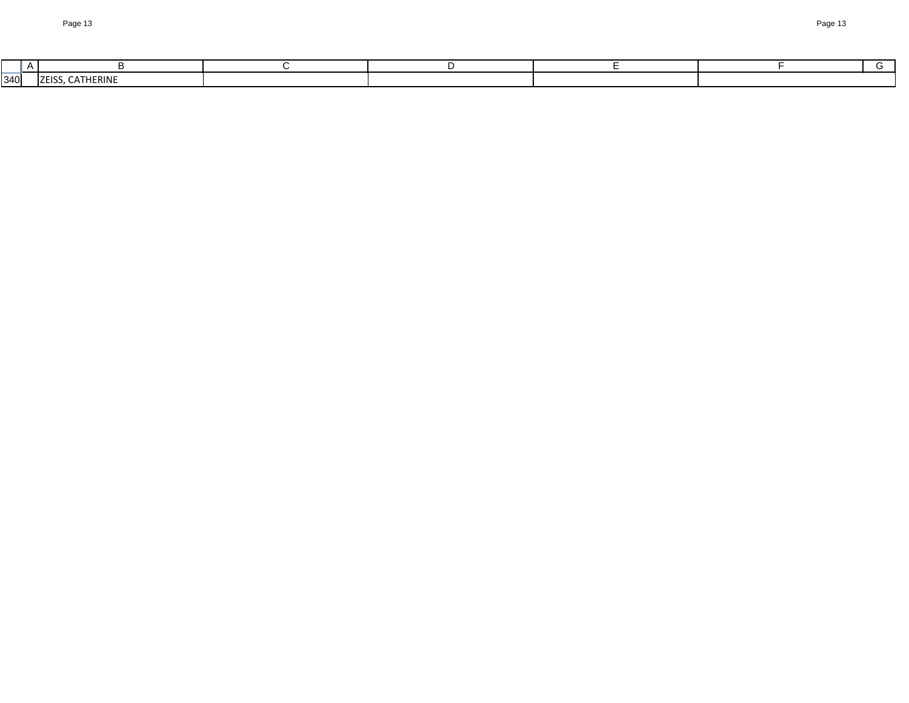| $340$ | --<br><b>17ER</b><br>·KINI |  |  |  |
|-------|----------------------------|--|--|--|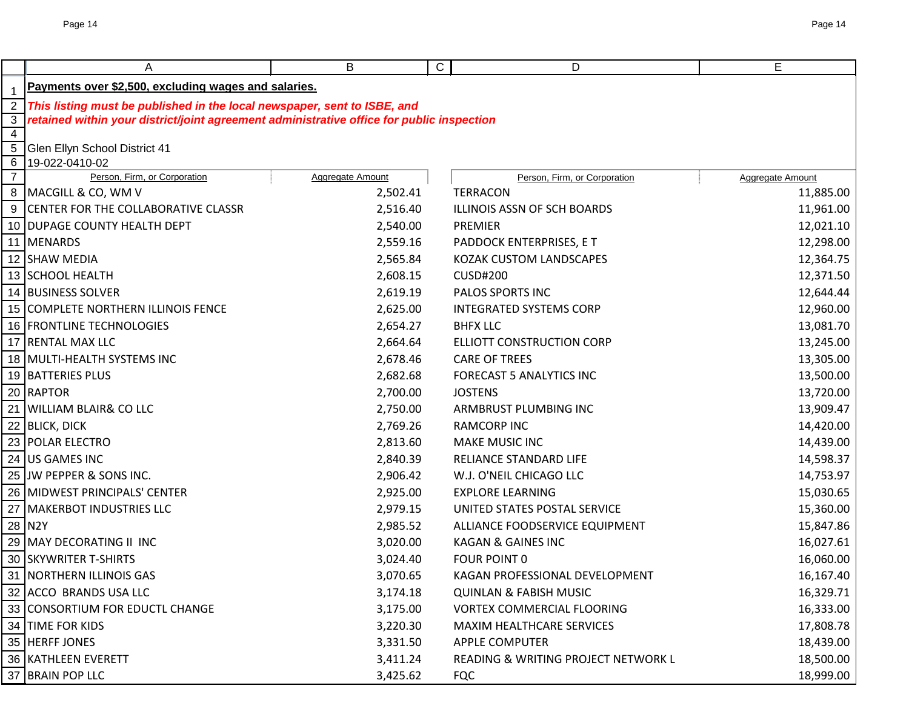|                     | A                                                                                         | B                | С<br>D                              | E                |  |  |  |  |
|---------------------|-------------------------------------------------------------------------------------------|------------------|-------------------------------------|------------------|--|--|--|--|
|                     | Payments over \$2,500, excluding wages and salaries.                                      |                  |                                     |                  |  |  |  |  |
| 2                   | This listing must be published in the local newspaper, sent to ISBE, and                  |                  |                                     |                  |  |  |  |  |
| 3 <sup>1</sup>      | retained within your district/joint agreement administrative office for public inspection |                  |                                     |                  |  |  |  |  |
| $\overline{4}$      |                                                                                           |                  |                                     |                  |  |  |  |  |
| $\overline{5}$      | Glen Ellyn School District 41                                                             |                  |                                     |                  |  |  |  |  |
| 6<br>$\overline{7}$ | 19-022-0410-02<br>Person, Firm, or Corporation                                            | Aggregate Amount | Person, Firm, or Corporation        | Aggregate Amount |  |  |  |  |
| 8                   | MACGILL & CO, WM V                                                                        | 2,502.41         | <b>TERRACON</b>                     | 11,885.00        |  |  |  |  |
|                     | 9 CENTER FOR THE COLLABORATIVE CLASSR                                                     | 2,516.40         | ILLINOIS ASSN OF SCH BOARDS         | 11,961.00        |  |  |  |  |
|                     | 10 DUPAGE COUNTY HEALTH DEPT                                                              | 2,540.00         | PREMIER                             | 12,021.10        |  |  |  |  |
|                     | 11 MENARDS                                                                                | 2,559.16         | PADDOCK ENTERPRISES, E T            | 12,298.00        |  |  |  |  |
|                     | 12 SHAW MEDIA                                                                             | 2,565.84         | <b>KOZAK CUSTOM LANDSCAPES</b>      | 12,364.75        |  |  |  |  |
|                     | 13 SCHOOL HEALTH                                                                          | 2,608.15         | <b>CUSD#200</b>                     | 12,371.50        |  |  |  |  |
|                     | 14 BUSINESS SOLVER                                                                        | 2,619.19         | PALOS SPORTS INC                    | 12,644.44        |  |  |  |  |
|                     | 15 COMPLETE NORTHERN ILLINOIS FENCE                                                       | 2,625.00         | <b>INTEGRATED SYSTEMS CORP</b>      | 12,960.00        |  |  |  |  |
|                     | 16 FRONTLINE TECHNOLOGIES                                                                 | 2,654.27         | <b>BHFX LLC</b>                     | 13,081.70        |  |  |  |  |
|                     | 17 RENTAL MAX LLC                                                                         | 2,664.64         | <b>ELLIOTT CONSTRUCTION CORP</b>    | 13,245.00        |  |  |  |  |
|                     | 18 MULTI-HEALTH SYSTEMS INC                                                               | 2,678.46         | <b>CARE OF TREES</b>                | 13,305.00        |  |  |  |  |
|                     | 19 BATTERIES PLUS                                                                         | 2,682.68         | <b>FORECAST 5 ANALYTICS INC</b>     | 13,500.00        |  |  |  |  |
|                     | 20 RAPTOR                                                                                 | 2,700.00         | <b>JOSTENS</b>                      | 13,720.00        |  |  |  |  |
|                     | 21 WILLIAM BLAIR& CO LLC                                                                  | 2,750.00         | ARMBRUST PLUMBING INC               | 13,909.47        |  |  |  |  |
|                     | 22 BLICK, DICK                                                                            | 2,769.26         | <b>RAMCORP INC</b>                  | 14,420.00        |  |  |  |  |
|                     | 23 POLAR ELECTRO                                                                          | 2,813.60         | <b>MAKE MUSIC INC</b>               | 14,439.00        |  |  |  |  |
|                     | 24 US GAMES INC                                                                           | 2,840.39         | RELIANCE STANDARD LIFE              | 14,598.37        |  |  |  |  |
|                     | 25 JW PEPPER & SONS INC.                                                                  | 2,906.42         | W.J. O'NEIL CHICAGO LLC             | 14,753.97        |  |  |  |  |
|                     | 26 MIDWEST PRINCIPALS' CENTER                                                             | 2,925.00         | <b>EXPLORE LEARNING</b>             | 15,030.65        |  |  |  |  |
| 27                  | <b>MAKERBOT INDUSTRIES LLC</b>                                                            | 2,979.15         | UNITED STATES POSTAL SERVICE        | 15,360.00        |  |  |  |  |
|                     | 28 N2Y                                                                                    | 2,985.52         | ALLIANCE FOODSERVICE EQUIPMENT      | 15,847.86        |  |  |  |  |
|                     | 29 MAY DECORATING II INC                                                                  | 3,020.00         | <b>KAGAN &amp; GAINES INC</b>       | 16,027.61        |  |  |  |  |
|                     | 30 SKYWRITER T-SHIRTS                                                                     | 3,024.40         | <b>FOUR POINT 0</b>                 | 16,060.00        |  |  |  |  |
|                     | 31   NORTHERN ILLINOIS GAS                                                                | 3,070.65         | KAGAN PROFESSIONAL DEVELOPMENT      | 16,167.40        |  |  |  |  |
|                     | 32 ACCO BRANDS USA LLC                                                                    | 3,174.18         | <b>QUINLAN &amp; FABISH MUSIC</b>   | 16,329.71        |  |  |  |  |
|                     | 33 CONSORTIUM FOR EDUCTL CHANGE                                                           | 3,175.00         | <b>VORTEX COMMERCIAL FLOORING</b>   | 16,333.00        |  |  |  |  |
|                     | 34 TIME FOR KIDS                                                                          | 3,220.30         | MAXIM HEALTHCARE SERVICES           | 17,808.78        |  |  |  |  |
|                     | 35 HERFF JONES                                                                            | 3,331.50         | <b>APPLE COMPUTER</b>               | 18,439.00        |  |  |  |  |
|                     | 36 KATHLEEN EVERETT                                                                       | 3,411.24         | READING & WRITING PROJECT NETWORK L | 18,500.00        |  |  |  |  |
|                     | 37 BRAIN POP LLC                                                                          | 3,425.62         | <b>FQC</b>                          | 18,999.00        |  |  |  |  |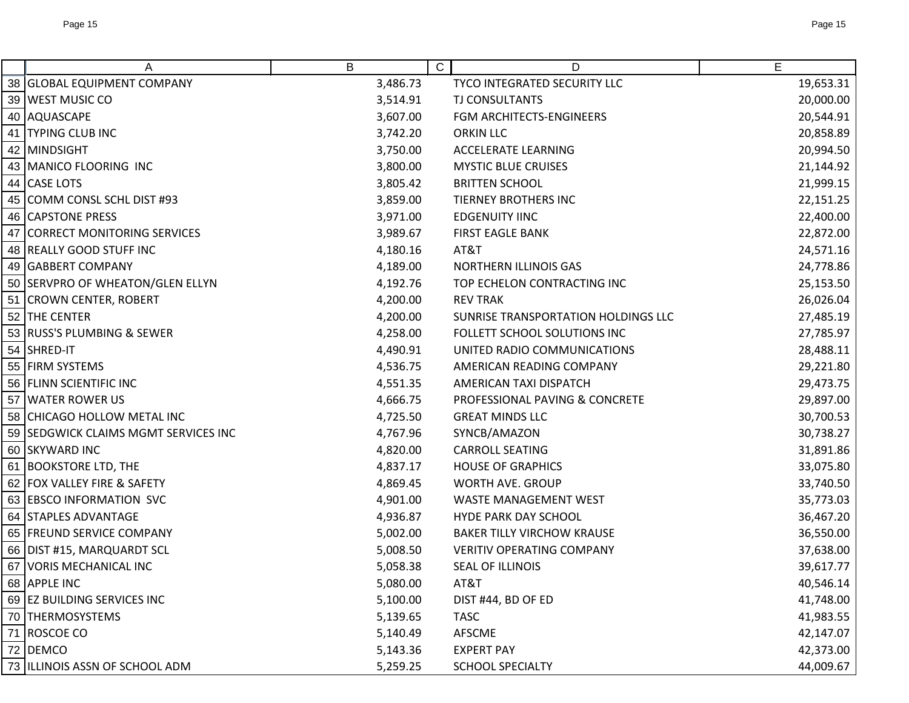| A                                    | B        | $\mathsf{C}$<br>D                   | E         |
|--------------------------------------|----------|-------------------------------------|-----------|
| 38 GLOBAL EQUIPMENT COMPANY          | 3,486.73 | TYCO INTEGRATED SECURITY LLC        | 19,653.31 |
| 39 WEST MUSIC CO                     | 3,514.91 | <b>TJ CONSULTANTS</b>               | 20,000.00 |
| 40 AQUASCAPE                         | 3,607.00 | FGM ARCHITECTS-ENGINEERS            | 20,544.91 |
| 41 TYPING CLUB INC                   | 3,742.20 | <b>ORKIN LLC</b>                    | 20,858.89 |
| 42 MINDSIGHT                         | 3,750.00 | <b>ACCELERATE LEARNING</b>          | 20,994.50 |
| 43   MANICO FLOORING INC             | 3,800.00 | <b>MYSTIC BLUE CRUISES</b>          | 21,144.92 |
| 44 CASE LOTS                         | 3,805.42 | <b>BRITTEN SCHOOL</b>               | 21,999.15 |
| 45 COMM CONSL SCHL DIST #93          | 3,859.00 | <b>TIERNEY BROTHERS INC</b>         | 22,151.25 |
| 46 CAPSTONE PRESS                    | 3,971.00 | <b>EDGENUITY IINC</b>               | 22,400.00 |
| 47 CORRECT MONITORING SERVICES       | 3,989.67 | <b>FIRST EAGLE BANK</b>             | 22,872.00 |
| 48 REALLY GOOD STUFF INC             | 4,180.16 | AT&T                                | 24,571.16 |
| 49 GABBERT COMPANY                   | 4,189.00 | <b>NORTHERN ILLINOIS GAS</b>        | 24,778.86 |
| 50 SERVPRO OF WHEATON/GLEN ELLYN     | 4,192.76 | TOP ECHELON CONTRACTING INC         | 25,153.50 |
| 51 CROWN CENTER, ROBERT              | 4,200.00 | <b>REV TRAK</b>                     | 26,026.04 |
| 52 THE CENTER                        | 4,200.00 | SUNRISE TRANSPORTATION HOLDINGS LLC | 27,485.19 |
| 53 RUSS'S PLUMBING & SEWER           | 4,258.00 | FOLLETT SCHOOL SOLUTIONS INC        | 27,785.97 |
| 54 SHRED-IT                          | 4,490.91 | UNITED RADIO COMMUNICATIONS         | 28,488.11 |
| 55 FIRM SYSTEMS                      | 4,536.75 | AMERICAN READING COMPANY            | 29,221.80 |
| 56 FLINN SCIENTIFIC INC              | 4,551.35 | AMERICAN TAXI DISPATCH              | 29,473.75 |
| 57 WATER ROWER US                    | 4,666.75 | PROFESSIONAL PAVING & CONCRETE      | 29,897.00 |
| 58 CHICAGO HOLLOW METAL INC          | 4,725.50 | <b>GREAT MINDS LLC</b>              | 30,700.53 |
| 59 SEDGWICK CLAIMS MGMT SERVICES INC | 4,767.96 | SYNCB/AMAZON                        | 30,738.27 |
| 60 SKYWARD INC                       | 4,820.00 | <b>CARROLL SEATING</b>              | 31,891.86 |
| 61 BOOKSTORE LTD, THE                | 4,837.17 | <b>HOUSE OF GRAPHICS</b>            | 33,075.80 |
| 62 FOX VALLEY FIRE & SAFETY          | 4,869.45 | WORTH AVE. GROUP                    | 33,740.50 |
| 63 EBSCO INFORMATION SVC             | 4,901.00 | <b>WASTE MANAGEMENT WEST</b>        | 35,773.03 |
| 64 STAPLES ADVANTAGE                 | 4,936.87 | HYDE PARK DAY SCHOOL                | 36,467.20 |
| 65 FREUND SERVICE COMPANY            | 5,002.00 | <b>BAKER TILLY VIRCHOW KRAUSE</b>   | 36,550.00 |
| 66 DIST #15, MARQUARDT SCL           | 5,008.50 | <b>VERITIV OPERATING COMPANY</b>    | 37,638.00 |
| 67 VORIS MECHANICAL INC              | 5,058.38 | SEAL OF ILLINOIS                    | 39,617.77 |
| 68 APPLE INC                         | 5,080.00 | AT&T                                | 40,546.14 |
| 69 EZ BUILDING SERVICES INC          | 5,100.00 | DIST #44, BD OF ED                  | 41,748.00 |
| 70 THERMOSYSTEMS                     | 5,139.65 | <b>TASC</b>                         | 41,983.55 |
| 71 ROSCOE CO                         | 5,140.49 | AFSCME                              | 42,147.07 |
| 72 DEMCO                             | 5,143.36 | <b>EXPERT PAY</b>                   | 42,373.00 |
| 73  ILLINOIS ASSN OF SCHOOL ADM      | 5,259.25 | <b>SCHOOL SPECIALTY</b>             | 44,009.67 |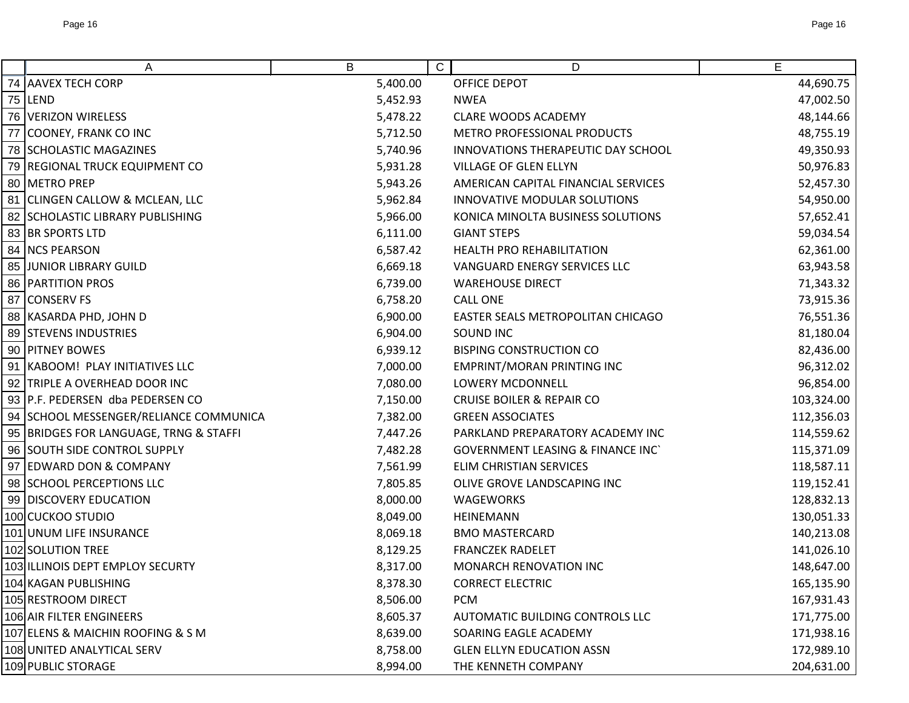| Α                                      | B        | C.<br>D                                     | E          |
|----------------------------------------|----------|---------------------------------------------|------------|
| 74 AAVEX TECH CORP                     | 5,400.00 | <b>OFFICE DEPOT</b>                         | 44,690.75  |
| 75 LEND                                | 5,452.93 | <b>NWEA</b>                                 | 47,002.50  |
| 76 VERIZON WIRELESS                    | 5,478.22 | <b>CLARE WOODS ACADEMY</b>                  | 48,144.66  |
| 77 COONEY, FRANK CO INC                | 5,712.50 | METRO PROFESSIONAL PRODUCTS                 | 48,755.19  |
| 78 SCHOLASTIC MAGAZINES                | 5,740.96 | INNOVATIONS THERAPEUTIC DAY SCHOOL          | 49,350.93  |
| 79 REGIONAL TRUCK EQUIPMENT CO         | 5,931.28 | <b>VILLAGE OF GLEN ELLYN</b>                | 50,976.83  |
| 80 METRO PREP                          | 5,943.26 | AMERICAN CAPITAL FINANCIAL SERVICES         | 52,457.30  |
| 81 CLINGEN CALLOW & MCLEAN, LLC        | 5,962.84 | INNOVATIVE MODULAR SOLUTIONS                | 54,950.00  |
| 82 SCHOLASTIC LIBRARY PUBLISHING       | 5,966.00 | KONICA MINOLTA BUSINESS SOLUTIONS           | 57,652.41  |
| 83 BR SPORTS LTD                       | 6,111.00 | <b>GIANT STEPS</b>                          | 59,034.54  |
| 84 NCS PEARSON                         | 6,587.42 | <b>HEALTH PRO REHABILITATION</b>            | 62,361.00  |
| 85 JUNIOR LIBRARY GUILD                | 6,669.18 | VANGUARD ENERGY SERVICES LLC                | 63,943.58  |
| 86   PARTITION PROS                    | 6,739.00 | <b>WAREHOUSE DIRECT</b>                     | 71,343.32  |
| 87 CONSERV FS                          | 6,758.20 | <b>CALL ONE</b>                             | 73,915.36  |
| 88 KASARDA PHD, JOHN D                 | 6,900.00 | EASTER SEALS METROPOLITAN CHICAGO           | 76,551.36  |
| 89 STEVENS INDUSTRIES                  | 6,904.00 | <b>SOUND INC</b>                            | 81,180.04  |
| 90 PITNEY BOWES                        | 6,939.12 | <b>BISPING CONSTRUCTION CO</b>              | 82,436.00  |
| 91   KABOOM! PLAY INITIATIVES LLC      | 7,000.00 | <b>EMPRINT/MORAN PRINTING INC</b>           | 96,312.02  |
| 92 TRIPLE A OVERHEAD DOOR INC          | 7,080.00 | <b>LOWERY MCDONNELL</b>                     | 96,854.00  |
| 93 P.F. PEDERSEN dba PEDERSEN CO       | 7,150.00 | <b>CRUISE BOILER &amp; REPAIR CO</b>        | 103,324.00 |
| 94 SCHOOL MESSENGER/RELIANCE COMMUNICA | 7,382.00 | <b>GREEN ASSOCIATES</b>                     | 112,356.03 |
| 95 BRIDGES FOR LANGUAGE, TRNG & STAFFI | 7,447.26 | PARKLAND PREPARATORY ACADEMY INC            | 114,559.62 |
| 96 SOUTH SIDE CONTROL SUPPLY           | 7,482.28 | <b>GOVERNMENT LEASING &amp; FINANCE INC</b> | 115,371.09 |
| 97 EDWARD DON & COMPANY                | 7,561.99 | <b>ELIM CHRISTIAN SERVICES</b>              | 118,587.11 |
| 98 SCHOOL PERCEPTIONS LLC              | 7,805.85 | OLIVE GROVE LANDSCAPING INC                 | 119,152.41 |
| 99 DISCOVERY EDUCATION                 | 8,000.00 | <b>WAGEWORKS</b>                            | 128,832.13 |
| 100 CUCKOO STUDIO                      | 8,049.00 | <b>HEINEMANN</b>                            | 130,051.33 |
| 101 UNUM LIFE INSURANCE                | 8,069.18 | <b>BMO MASTERCARD</b>                       | 140,213.08 |
| 102 SOLUTION TREE                      | 8,129.25 | <b>FRANCZEK RADELET</b>                     | 141,026.10 |
| 103 ILLINOIS DEPT EMPLOY SECURTY       | 8,317.00 | MONARCH RENOVATION INC                      | 148,647.00 |
| 104 KAGAN PUBLISHING                   | 8,378.30 | <b>CORRECT ELECTRIC</b>                     | 165,135.90 |
| 105 RESTROOM DIRECT                    | 8,506.00 | <b>PCM</b>                                  | 167,931.43 |
| 106 AIR FILTER ENGINEERS               | 8,605.37 | AUTOMATIC BUILDING CONTROLS LLC             | 171,775.00 |
| 107 ELENS & MAICHIN ROOFING & S M      | 8,639.00 | SOARING EAGLE ACADEMY                       | 171,938.16 |
| 108 UNITED ANALYTICAL SERV             | 8,758.00 | <b>GLEN ELLYN EDUCATION ASSN</b>            | 172,989.10 |
| 109 PUBLIC STORAGE                     | 8,994.00 | THE KENNETH COMPANY                         | 204,631.00 |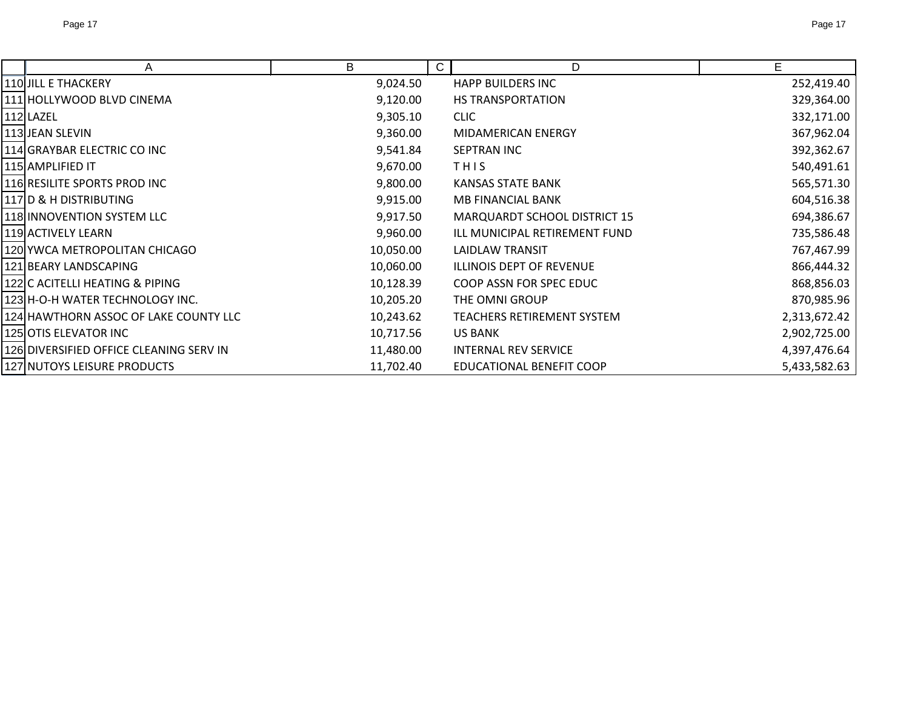| A                                 | B         | $\mathsf{C}$<br>D                   | Е            |
|-----------------------------------|-----------|-------------------------------------|--------------|
| <b>JILL E THACKERY</b>            | 9,024.50  | <b>HAPP BUILDERS INC</b>            | 252,419.40   |
| <b>HOLLYWOOD BLVD CINEMA</b>      | 9,120.00  | <b>HS TRANSPORTATION</b>            | 329,364.00   |
| LAZEL                             | 9,305.10  | <b>CLIC</b>                         | 332,171.00   |
| <b>JEAN SLEVIN</b>                | 9,360.00  | MIDAMERICAN ENERGY                  | 367,962.04   |
| <b>GRAYBAR ELECTRIC CO INC</b>    | 9,541.84  | SEPTRAN INC                         | 392,362.67   |
| IAMPLIFIED IT                     | 9,670.00  | THIS                                | 540,491.61   |
| RESILITE SPORTS PROD INC          | 9,800.00  | <b>KANSAS STATE BANK</b>            | 565,571.30   |
| <b>D &amp; H DISTRIBUTING</b>     | 9,915.00  | <b>MB FINANCIAL BANK</b>            | 604,516.38   |
| <b>INNOVENTION SYSTEM LLC</b>     | 9,917.50  | <b>MARQUARDT SCHOOL DISTRICT 15</b> | 694,386.67   |
| <b>ACTIVELY LEARN</b>             | 9,960.00  | ILL MUNICIPAL RETIREMENT FUND       | 735,586.48   |
| YWCA METROPOLITAN CHICAGO         | 10,050.00 | LAIDLAW TRANSIT                     | 767,467.99   |
| IBEARY LANDSCAPING                | 10,060.00 | <b>ILLINOIS DEPT OF REVENUE</b>     | 866,444.32   |
| C ACITELLI HEATING & PIPING       | 10,128.39 | COOP ASSN FOR SPEC EDUC             | 868,856.03   |
| IH-O-H WATER TECHNOLOGY INC.      | 10,205.20 | THE OMNI GROUP                      | 870,985.96   |
| HAWTHORN ASSOC OF LAKE COUNTY LLC | 10,243.62 | TEACHERS RETIREMENT SYSTEM          | 2,313,672.42 |
| OTIS ELEVATOR INC                 | 10,717.56 | <b>US BANK</b>                      | 2,902,725.00 |

DIVERSIFIED OFFICE CLEANING SERV IN 11,480.00 INTERNAL REV SERVICE 4,397,476.64 NUTOYS LEISURE PRODUCTS 11,702.40 EDUCATIONAL BENEFIT COOP 5,433,582.63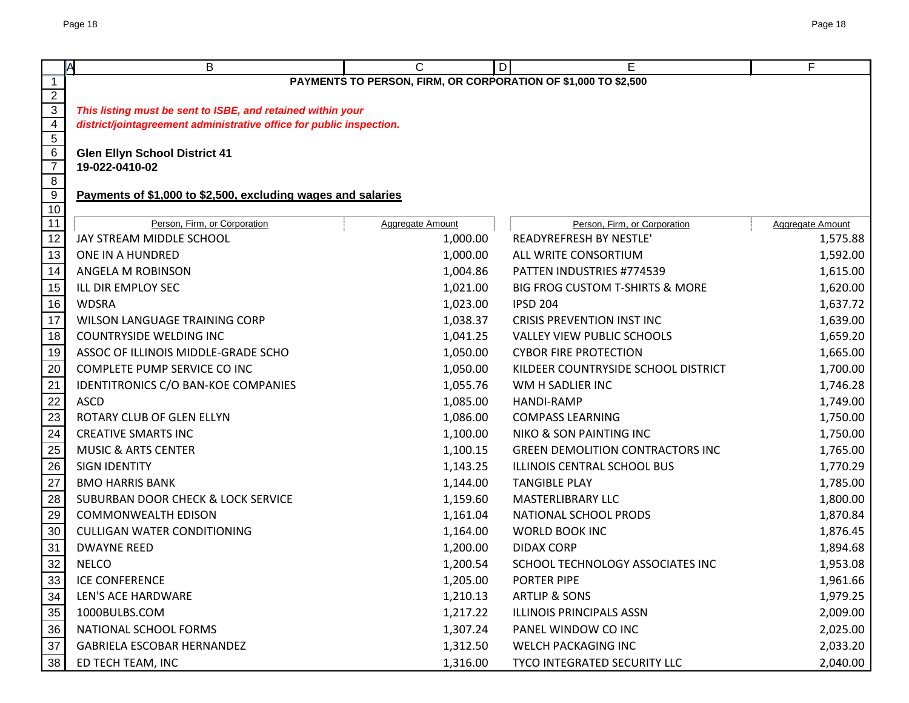|                                  | B<br>A                                                               | C                                                              | Е<br>D                                  | F                       |  |  |  |  |
|----------------------------------|----------------------------------------------------------------------|----------------------------------------------------------------|-----------------------------------------|-------------------------|--|--|--|--|
| $\overline{1}$                   |                                                                      | PAYMENTS TO PERSON, FIRM, OR CORPORATION OF \$1,000 TO \$2,500 |                                         |                         |  |  |  |  |
| $\overline{2}$                   |                                                                      |                                                                |                                         |                         |  |  |  |  |
| $\overline{3}$                   | This listing must be sent to ISBE, and retained within your          |                                                                |                                         |                         |  |  |  |  |
| $\overline{4}$<br>$\overline{5}$ | district/jointagreement administrative office for public inspection. |                                                                |                                         |                         |  |  |  |  |
| $6\overline{6}$                  | <b>Glen Ellyn School District 41</b>                                 |                                                                |                                         |                         |  |  |  |  |
| $\overline{7}$                   | 19-022-0410-02                                                       |                                                                |                                         |                         |  |  |  |  |
| $\overline{8}$                   |                                                                      |                                                                |                                         |                         |  |  |  |  |
| 9                                | Payments of \$1,000 to \$2,500, excluding wages and salaries         |                                                                |                                         |                         |  |  |  |  |
| 10                               |                                                                      |                                                                |                                         |                         |  |  |  |  |
| $\overline{11}$                  | Person, Firm, or Corporation                                         | Aggregate Amount                                               | Person, Firm, or Corporation            | <b>Aggregate Amount</b> |  |  |  |  |
| 12                               | JAY STREAM MIDDLE SCHOOL                                             | 1,000.00                                                       | READYREFRESH BY NESTLE'                 | 1,575.88                |  |  |  |  |
| 13                               | ONE IN A HUNDRED                                                     | 1,000.00                                                       | ALL WRITE CONSORTIUM                    | 1,592.00                |  |  |  |  |
| 14                               | ANGELA M ROBINSON                                                    | 1,004.86                                                       | PATTEN INDUSTRIES #774539               | 1,615.00                |  |  |  |  |
| 15                               | ILL DIR EMPLOY SEC                                                   | 1,021.00                                                       | BIG FROG CUSTOM T-SHIRTS & MORE         | 1,620.00                |  |  |  |  |
| 16                               | <b>WDSRA</b>                                                         | 1,023.00                                                       | <b>IPSD 204</b>                         | 1,637.72                |  |  |  |  |
| 17                               | <b>WILSON LANGUAGE TRAINING CORP</b>                                 | 1,038.37                                                       | <b>CRISIS PREVENTION INST INC</b>       | 1,639.00                |  |  |  |  |
| 18                               | <b>COUNTRYSIDE WELDING INC</b>                                       | 1,041.25                                                       | <b>VALLEY VIEW PUBLIC SCHOOLS</b>       | 1,659.20                |  |  |  |  |
| $19$                             | ASSOC OF ILLINOIS MIDDLE-GRADE SCHO                                  | 1,050.00                                                       | <b>CYBOR FIRE PROTECTION</b>            | 1,665.00                |  |  |  |  |
| 20                               | COMPLETE PUMP SERVICE CO INC                                         | 1,050.00                                                       | KILDEER COUNTRYSIDE SCHOOL DISTRICT     | 1,700.00                |  |  |  |  |
| $\overline{21}$                  | IDENTITRONICS C/O BAN-KOE COMPANIES                                  | 1,055.76                                                       | WM H SADLIER INC                        | 1,746.28                |  |  |  |  |
| $\overline{22}$                  | <b>ASCD</b>                                                          | 1,085.00                                                       | <b>HANDI-RAMP</b>                       | 1,749.00                |  |  |  |  |
| 23                               | ROTARY CLUB OF GLEN ELLYN                                            | 1,086.00                                                       | <b>COMPASS LEARNING</b>                 | 1,750.00                |  |  |  |  |
| $\overline{24}$                  | <b>CREATIVE SMARTS INC</b>                                           | 1,100.00                                                       | <b>NIKO &amp; SON PAINTING INC</b>      | 1,750.00                |  |  |  |  |
| $\overline{25}$                  | <b>MUSIC &amp; ARTS CENTER</b>                                       | 1,100.15                                                       | <b>GREEN DEMOLITION CONTRACTORS INC</b> | 1,765.00                |  |  |  |  |
| 26                               | <b>SIGN IDENTITY</b>                                                 | 1,143.25                                                       | ILLINOIS CENTRAL SCHOOL BUS             | 1,770.29                |  |  |  |  |
| $\overline{27}$                  | <b>BMO HARRIS BANK</b>                                               | 1,144.00                                                       | <b>TANGIBLE PLAY</b>                    | 1,785.00                |  |  |  |  |
| 28                               | <b>SUBURBAN DOOR CHECK &amp; LOCK SERVICE</b>                        | 1,159.60                                                       | <b>MASTERLIBRARY LLC</b>                | 1,800.00                |  |  |  |  |
| 29                               | <b>COMMONWEALTH EDISON</b>                                           | 1,161.04                                                       | NATIONAL SCHOOL PRODS                   | 1,870.84                |  |  |  |  |
| $30\,$                           | <b>CULLIGAN WATER CONDITIONING</b>                                   | 1,164.00                                                       | <b>WORLD BOOK INC</b>                   | 1,876.45                |  |  |  |  |
| 31                               | <b>DWAYNE REED</b>                                                   | 1,200.00                                                       | <b>DIDAX CORP</b>                       | 1,894.68                |  |  |  |  |
| 32                               | <b>NELCO</b>                                                         | 1,200.54                                                       | SCHOOL TECHNOLOGY ASSOCIATES INC        | 1,953.08                |  |  |  |  |
| 33                               | <b>ICE CONFERENCE</b>                                                | 1,205.00                                                       | PORTER PIPE                             | 1,961.66                |  |  |  |  |
| 34                               | LEN'S ACE HARDWARE                                                   | 1,210.13                                                       | <b>ARTLIP &amp; SONS</b>                | 1,979.25                |  |  |  |  |
| 35                               | 1000BULBS.COM                                                        | 1,217.22                                                       | <b>ILLINOIS PRINCIPALS ASSN</b>         | 2,009.00                |  |  |  |  |
| $36\,$                           | NATIONAL SCHOOL FORMS                                                | 1,307.24                                                       | PANEL WINDOW CO INC                     | 2,025.00                |  |  |  |  |
| $\overline{37}$                  | <b>GABRIELA ESCOBAR HERNANDEZ</b>                                    | 1,312.50                                                       | WELCH PACKAGING INC                     | 2,033.20                |  |  |  |  |
| 38                               | ED TECH TEAM, INC                                                    | 1,316.00                                                       | TYCO INTEGRATED SECURITY LLC            | 2,040.00                |  |  |  |  |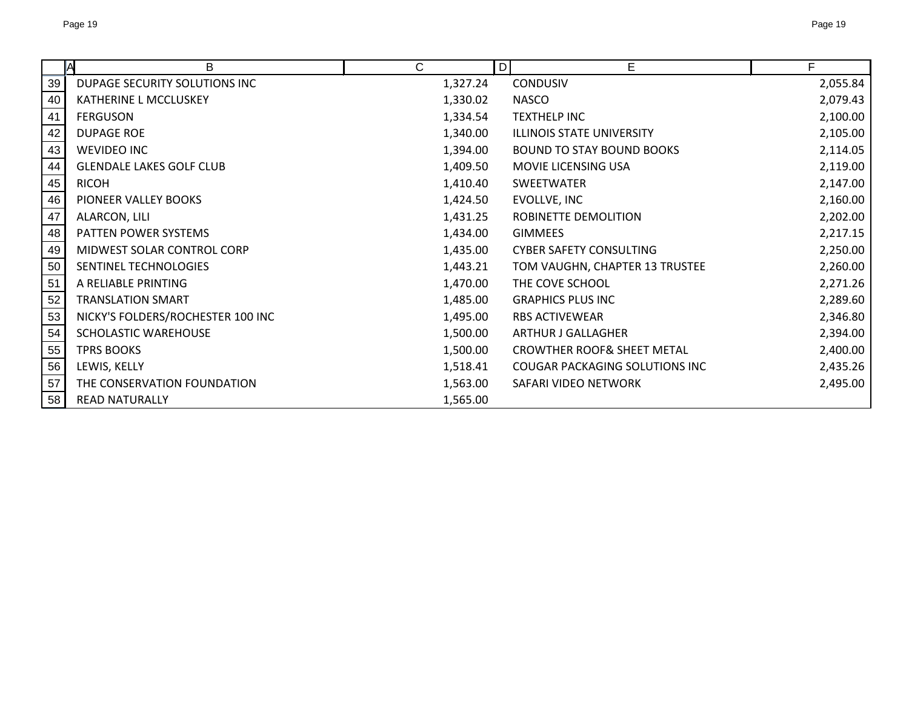|    | B<br><b>A</b>                     | С        | D | E                                     | F        |
|----|-----------------------------------|----------|---|---------------------------------------|----------|
| 39 | DUPAGE SECURITY SOLUTIONS INC     | 1,327.24 |   | <b>CONDUSIV</b>                       | 2,055.84 |
| 40 | KATHERINE L MCCLUSKEY             | 1,330.02 |   | <b>NASCO</b>                          | 2,079.43 |
| 41 | <b>FERGUSON</b>                   | 1,334.54 |   | <b>TEXTHELP INC</b>                   | 2,100.00 |
| 42 | <b>DUPAGE ROE</b>                 | 1,340.00 |   | <b>ILLINOIS STATE UNIVERSITY</b>      | 2,105.00 |
| 43 | <b>WEVIDEO INC</b>                | 1,394.00 |   | <b>BOUND TO STAY BOUND BOOKS</b>      | 2,114.05 |
| 44 | <b>GLENDALE LAKES GOLF CLUB</b>   | 1,409.50 |   | MOVIE LICENSING USA                   | 2,119.00 |
| 45 | <b>RICOH</b>                      | 1,410.40 |   | SWEETWATER                            | 2,147.00 |
| 46 | PIONEER VALLEY BOOKS              | 1,424.50 |   | EVOLLVE, INC                          | 2,160.00 |
| 47 | ALARCON, LILI                     | 1,431.25 |   | ROBINETTE DEMOLITION                  | 2,202.00 |
| 48 | PATTEN POWER SYSTEMS              | 1,434.00 |   | <b>GIMMEES</b>                        | 2,217.15 |
| 49 | MIDWEST SOLAR CONTROL CORP        | 1,435.00 |   | <b>CYBER SAFETY CONSULTING</b>        | 2,250.00 |
| 50 | SENTINEL TECHNOLOGIES             | 1,443.21 |   | TOM VAUGHN, CHAPTER 13 TRUSTEE        | 2,260.00 |
| 51 | A RELIABLE PRINTING               | 1,470.00 |   | THE COVE SCHOOL                       | 2,271.26 |
| 52 | <b>TRANSLATION SMART</b>          | 1,485.00 |   | <b>GRAPHICS PLUS INC</b>              | 2,289.60 |
| 53 | NICKY'S FOLDERS/ROCHESTER 100 INC | 1,495.00 |   | <b>RBS ACTIVEWEAR</b>                 | 2,346.80 |
| 54 | SCHOLASTIC WAREHOUSE              | 1,500.00 |   | <b>ARTHUR J GALLAGHER</b>             | 2,394.00 |
| 55 | <b>TPRS BOOKS</b>                 | 1,500.00 |   | <b>CROWTHER ROOF&amp; SHEET METAL</b> | 2,400.00 |
| 56 | LEWIS, KELLY                      | 1,518.41 |   | COUGAR PACKAGING SOLUTIONS INC        | 2,435.26 |
| 57 | THE CONSERVATION FOUNDATION       | 1,563.00 |   | SAFARI VIDEO NETWORK                  | 2,495.00 |
| 58 | <b>READ NATURALLY</b>             | 1,565.00 |   |                                       |          |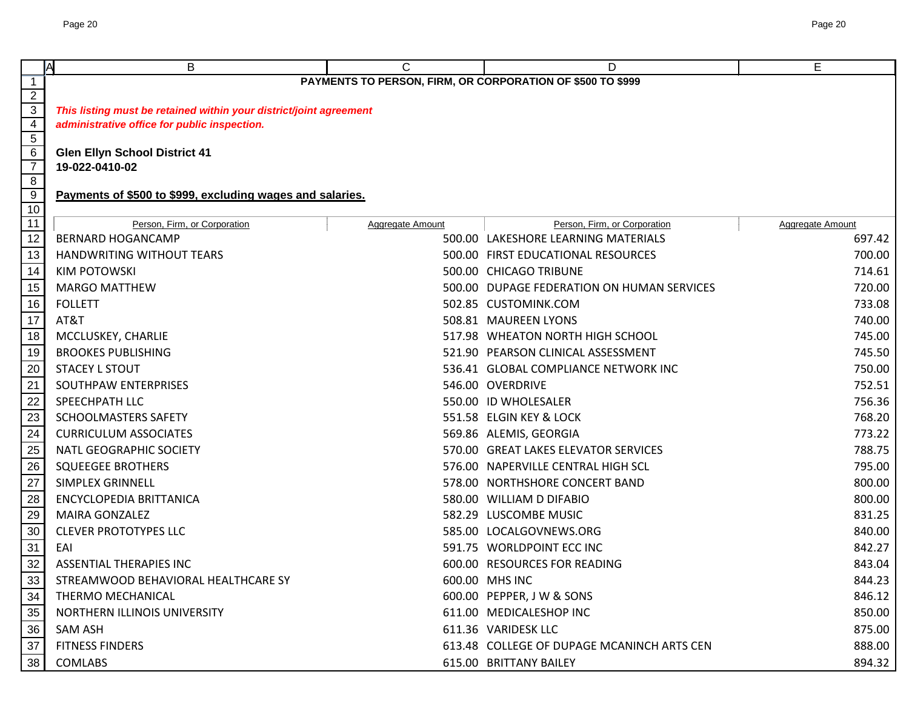|                                  | A<br>B                                                             | C                                                          | D                                          | E                |
|----------------------------------|--------------------------------------------------------------------|------------------------------------------------------------|--------------------------------------------|------------------|
| $\mathbf 1$                      |                                                                    | PAYMENTS TO PERSON, FIRM, OR CORPORATION OF \$500 TO \$999 |                                            |                  |
| $\overline{2}$                   |                                                                    |                                                            |                                            |                  |
| $\overline{3}$                   | This listing must be retained within your district/joint agreement |                                                            |                                            |                  |
| $\overline{4}$<br>$\overline{5}$ | administrative office for public inspection.                       |                                                            |                                            |                  |
| 6                                | <b>Glen Ellyn School District 41</b>                               |                                                            |                                            |                  |
| $\overline{7}$                   | 19-022-0410-02                                                     |                                                            |                                            |                  |
| $\overline{8}$                   |                                                                    |                                                            |                                            |                  |
| $\overline{9}$                   | Payments of \$500 to \$999, excluding wages and salaries.          |                                                            |                                            |                  |
| 10                               |                                                                    |                                                            |                                            |                  |
| 11                               | Person, Firm, or Corporation                                       | <b>Aggregate Amount</b>                                    | Person, Firm, or Corporation               | Aggregate Amount |
| 12                               | <b>BERNARD HOGANCAMP</b>                                           |                                                            | 500.00 LAKESHORE LEARNING MATERIALS        | 697.42           |
| 13                               | <b>HANDWRITING WITHOUT TEARS</b>                                   |                                                            | 500.00 FIRST EDUCATIONAL RESOURCES         | 700.00           |
| 14                               | <b>KIM POTOWSKI</b>                                                |                                                            | 500.00 CHICAGO TRIBUNE                     | 714.61           |
| 15                               | <b>MARGO MATTHEW</b>                                               |                                                            | 500.00 DUPAGE FEDERATION ON HUMAN SERVICES | 720.00           |
| 16                               | <b>FOLLETT</b>                                                     |                                                            | 502.85 CUSTOMINK.COM                       | 733.08           |
| 17                               | AT&T                                                               |                                                            | 508.81 MAUREEN LYONS                       | 740.00           |
| 18                               | MCCLUSKEY, CHARLIE                                                 |                                                            | 517.98 WHEATON NORTH HIGH SCHOOL           | 745.00           |
| 19                               | <b>BROOKES PUBLISHING</b>                                          |                                                            | 521.90 PEARSON CLINICAL ASSESSMENT         | 745.50           |
| 20                               | <b>STACEY L STOUT</b>                                              |                                                            | 536.41 GLOBAL COMPLIANCE NETWORK INC       | 750.00           |
| 21                               | SOUTHPAW ENTERPRISES                                               |                                                            | 546.00 OVERDRIVE                           | 752.51           |
| $\overline{22}$                  | SPEECHPATH LLC                                                     |                                                            | 550.00 ID WHOLESALER                       | 756.36           |
| $\overline{23}$                  | <b>SCHOOLMASTERS SAFETY</b>                                        |                                                            | 551.58 ELGIN KEY & LOCK                    | 768.20           |
| 24                               | <b>CURRICULUM ASSOCIATES</b>                                       |                                                            | 569.86 ALEMIS, GEORGIA                     | 773.22           |
| 25                               | NATL GEOGRAPHIC SOCIETY                                            |                                                            | 570.00 GREAT LAKES ELEVATOR SERVICES       | 788.75           |
| 26                               | <b>SQUEEGEE BROTHERS</b>                                           |                                                            | 576.00 NAPERVILLE CENTRAL HIGH SCL         | 795.00           |
| 27                               | <b>SIMPLEX GRINNELL</b>                                            |                                                            | 578.00 NORTHSHORE CONCERT BAND             | 800.00           |
| 28                               | <b>ENCYCLOPEDIA BRITTANICA</b>                                     |                                                            | 580.00 WILLIAM D DIFABIO                   | 800.00           |
| 29                               | <b>MAIRA GONZALEZ</b>                                              |                                                            | 582.29 LUSCOMBE MUSIC                      | 831.25           |
| 30                               | <b>CLEVER PROTOTYPES LLC</b>                                       |                                                            | 585.00 LOCALGOVNEWS.ORG                    | 840.00           |
| 31                               | EAI                                                                |                                                            | 591.75 WORLDPOINT ECC INC                  | 842.27           |
| 32                               | <b>ASSENTIAL THERAPIES INC</b>                                     |                                                            | 600.00 RESOURCES FOR READING               | 843.04           |
| 33                               | STREAMWOOD BEHAVIORAL HEALTHCARE SY                                |                                                            | 600.00 MHS INC                             | 844.23           |
| 34                               | THERMO MECHANICAL                                                  |                                                            | 600.00 PEPPER, J W & SONS                  | 846.12           |
| 35                               | NORTHERN ILLINOIS UNIVERSITY                                       |                                                            | 611.00 MEDICALESHOP INC                    | 850.00           |
| 36                               | <b>SAM ASH</b>                                                     |                                                            | 611.36 VARIDESK LLC                        | 875.00           |
| 37                               | <b>FITNESS FINDERS</b>                                             |                                                            | 613.48 COLLEGE OF DUPAGE MCANINCH ARTS CEN | 888.00           |
| 38                               | <b>COMLABS</b>                                                     |                                                            | 615.00 BRITTANY BAILEY                     | 894.32           |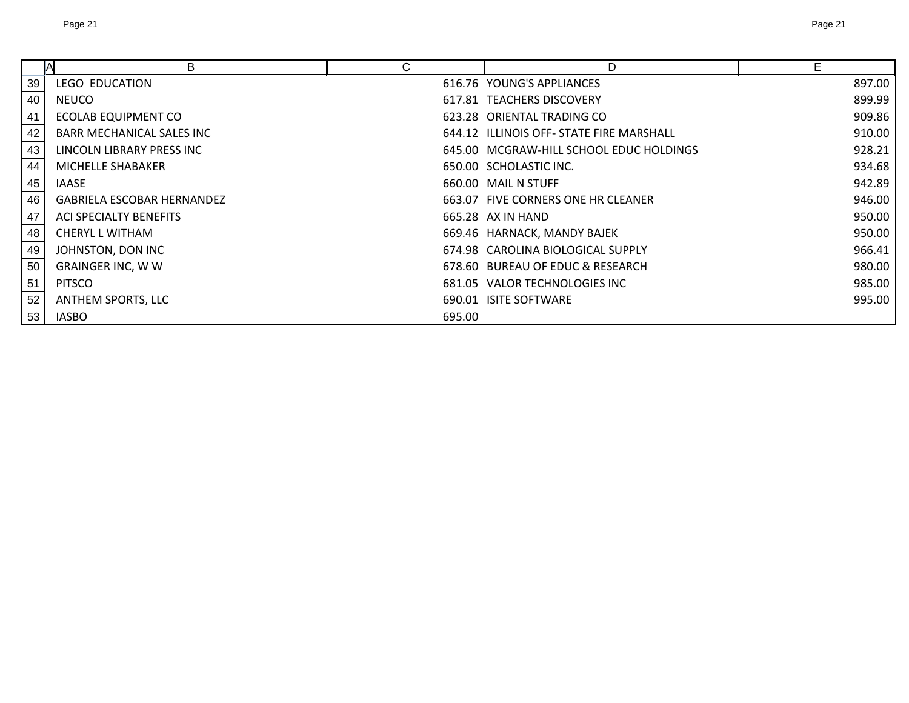|    | В                                 | U      | D                                        | Е      |
|----|-----------------------------------|--------|------------------------------------------|--------|
| 39 | <b>LEGO EDUCATION</b>             |        | 616.76 YOUNG'S APPLIANCES                | 897.00 |
| 40 | <b>NEUCO</b>                      |        | 617.81 TEACHERS DISCOVERY                | 899.99 |
| 41 | <b>ECOLAB EQUIPMENT CO</b>        |        | 623.28 ORIENTAL TRADING CO               | 909.86 |
| 42 | BARR MECHANICAL SALES INC         |        | 644.12 ILLINOIS OFF- STATE FIRE MARSHALL | 910.00 |
| 43 | LINCOLN LIBRARY PRESS INC         |        | 645.00 MCGRAW-HILL SCHOOL EDUC HOLDINGS  | 928.21 |
| 44 | MICHELLE SHABAKER                 |        | 650.00 SCHOLASTIC INC.                   | 934.68 |
| 45 | <b>IAASE</b>                      |        | 660.00 MAIL N STUFF                      | 942.89 |
| 46 | <b>GABRIELA ESCOBAR HERNANDEZ</b> |        | 663.07 FIVE CORNERS ONE HR CLEANER       | 946.00 |
| 47 | ACI SPECIALTY BENEFITS            |        | 665.28 AX IN HAND                        | 950.00 |
| 48 | <b>CHERYL L WITHAM</b>            |        | 669.46 HARNACK, MANDY BAJEK              | 950.00 |
| 49 | JOHNSTON, DON INC                 |        | 674.98 CAROLINA BIOLOGICAL SUPPLY        | 966.41 |
| 50 | <b>GRAINGER INC, W W</b>          |        | 678.60 BUREAU OF EDUC & RESEARCH         | 980.00 |
| 51 | <b>PITSCO</b>                     |        | 681.05 VALOR TECHNOLOGIES INC            | 985.00 |
| 52 | <b>ANTHEM SPORTS, LLC</b>         |        | 690.01 ISITE SOFTWARE                    | 995.00 |
| 53 | <b>IASBO</b>                      | 695.00 |                                          |        |